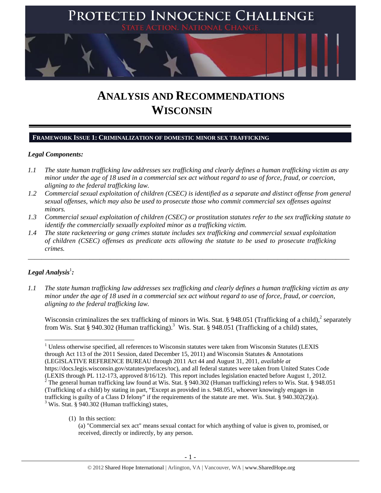

# **ANALYSIS AND RECOMMENDATIONS WISCONSIN**

## **FRAMEWORK ISSUE 1: CRIMINALIZATION OF DOMESTIC MINOR SEX TRAFFICKING**

## *Legal Components:*

- *1.1 The state human trafficking law addresses sex trafficking and clearly defines a human trafficking victim as any minor under the age of 18 used in a commercial sex act without regard to use of force, fraud, or coercion, aligning to the federal trafficking law.*
- *1.2 Commercial sexual exploitation of children (CSEC) is identified as a separate and distinct offense from general sexual offenses, which may also be used to prosecute those who commit commercial sex offenses against minors.*
- *1.3 Commercial sexual exploitation of children (CSEC) or prostitution statutes refer to the sex trafficking statute to identify the commercially sexually exploited minor as a trafficking victim.*

\_\_\_\_\_\_\_\_\_\_\_\_\_\_\_\_\_\_\_\_\_\_\_\_\_\_\_\_\_\_\_\_\_\_\_\_\_\_\_\_\_\_\_\_\_\_\_\_\_\_\_\_\_\_\_\_\_\_\_\_\_\_\_\_\_\_\_\_\_\_\_\_\_\_\_\_\_\_\_\_\_\_\_\_\_\_\_\_\_\_\_\_\_\_

*1.4 The state racketeering or gang crimes statute includes sex trafficking and commercial sexual exploitation of children (CSEC) offenses as predicate acts allowing the statute to be used to prosecute trafficking crimes.* 

## $\bm{\mathit{Legal\, Analysis^{\text{!}}:}}$

*1.1 The state human trafficking law addresses sex trafficking and clearly defines a human trafficking victim as any minor under the age of 18 used in a commercial sex act without regard to use of force, fraud, or coercion, aligning to the federal trafficking law.* 

Wisconsin criminalizes the sex trafficking of minors in Wis. Stat. § 948.051 (Trafficking of a child), $^2$  separately from Wis. Stat § 940.302 (Human trafficking).<sup>3</sup> Wis. Stat. § 948.051 (Trafficking of a child) states,

(1) In this section:

 1 Unless otherwise specified, all references to Wisconsin statutes were taken from Wisconsin Statutes (LEXIS through Act 113 of the 2011 Session, dated December 15, 2011) and Wisconsin Statutes & Annotations (LEGISLATIVE REFERENCE BUREAU through 2011 Act 44 and August 31, 2011, *available at*

https://docs.legis.wisconsin.gov/statutes/prefaces/toc), and all federal statutes were taken from United States Code (LEXIS through PL 112-173, approved 8/16/12). This report includes legislation enacted before August 1, 2012. <sup>2</sup> The general human trafficking law found at Wis. Stat. § 940.302 (Human trafficking) refers to Wis. Stat. § 948.051 (Trafficking of a child) by stating in part, "Except as provided in s. 948.051, whoever knowingly engages in trafficking is guilty of a Class D felony" if the requirements of the statute are met. Wis. Stat. § 940.302(2)(a). <sup>3</sup> Wis. Stat. § 940.302 (Human trafficking) states,

<sup>(</sup>a) "Commercial sex act" means sexual contact for which anything of value is given to, promised, or received, directly or indirectly, by any person.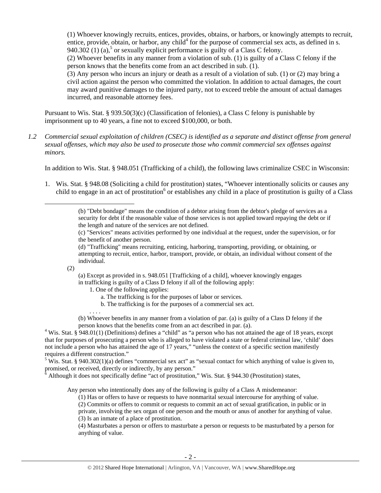(1) Whoever knowingly recruits, entices, provides, obtains, or harbors, or knowingly attempts to recruit, entice, provide, obtain, or harbor, any child<sup>4</sup> for the purpose of commercial sex acts, as defined in s. 940.302 (1) (a),<sup>5</sup> or sexually explicit performance is guilty of a Class C felony.

(2) Whoever benefits in any manner from a violation of sub. (1) is guilty of a Class C felony if the person knows that the benefits come from an act described in sub. (1).

(3) Any person who incurs an injury or death as a result of a violation of sub. (1) or (2) may bring a civil action against the person who committed the violation. In addition to actual damages, the court may award punitive damages to the injured party, not to exceed treble the amount of actual damages incurred, and reasonable attorney fees.

Pursuant to Wis. Stat. § 939.50(3)(c) (Classification of felonies), a Class C felony is punishable by imprisonment up to 40 years, a fine not to exceed \$100,000, or both.

*1.2 Commercial sexual exploitation of children (CSEC) is identified as a separate and distinct offense from general sexual offenses, which may also be used to prosecute those who commit commercial sex offenses against minors.* 

In addition to Wis. Stat. § 948.051 (Trafficking of a child), the following laws criminalize CSEC in Wisconsin:

1. Wis. Stat. § 948.08 (Soliciting a child for prostitution) states, "Whoever intentionally solicits or causes any child to engage in an act of prostitution<sup>6</sup> or establishes any child in a place of prostitution is guilty of a Class

(c) "Services" means activities performed by one individual at the request, under the supervision, or for the benefit of another person.

(2)

(a) Except as provided in s. 948.051 [Trafficking of a child], whoever knowingly engages in trafficking is guilty of a Class D felony if all of the following apply:

- 1. One of the following applies:
	- a. The trafficking is for the purposes of labor or services.
	- b. The trafficking is for the purposes of a commercial sex act.

. . . . (b) Whoever benefits in any manner from a violation of par. (a) is guilty of a Class D felony if the person knows that the benefits come from an act described in par. (a). 4

<sup>4</sup> Wis. Stat. § 948.01(1) (Definitions) defines a "child" as "a person who has not attained the age of 18 years, except that for purposes of prosecuting a person who is alleged to have violated a state or federal criminal law, 'child' does not include a person who has attained the age of 17 years," "unless the context of a specific section manifestly requires a different construction."

<sup>5</sup> Wis. Stat. § 940.302(1)(a) defines "commercial sex act" as "sexual contact for which anything of value is given to, promised, or received, directly or indirectly, by any person."

 $\frac{6}{6}$  Although it does not specifically define "act of prostitution," Wis. Stat. § 944.30 (Prostitution) states,

Any person who intentionally does any of the following is guilty of a Class A misdemeanor:

(1) Has or offers to have or requests to have nonmarital sexual intercourse for anything of value.

(2) Commits or offers to commit or requests to commit an act of sexual gratification, in public or in

private, involving the sex organ of one person and the mouth or anus of another for anything of value. (3) Is an inmate of a place of prostitution.

(4) Masturbates a person or offers to masturbate a person or requests to be masturbated by a person for anything of value.

<sup>(</sup>b) "Debt bondage" means the condition of a debtor arising from the debtor's pledge of services as a security for debt if the reasonable value of those services is not applied toward repaying the debt or if the length and nature of the services are not defined.

<sup>(</sup>d) "Trafficking" means recruiting, enticing, harboring, transporting, providing, or obtaining, or attempting to recruit, entice, harbor, transport, provide, or obtain, an individual without consent of the individual.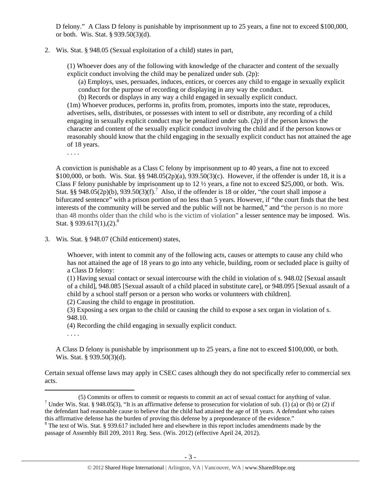D felony." A Class D felony is punishable by imprisonment up to 25 years, a fine not to exceed \$100,000, or both. Wis. Stat. § 939.50(3)(d).

## 2. Wis. Stat. § 948.05 (Sexual exploitation of a child) states in part,

(1) Whoever does any of the following with knowledge of the character and content of the sexually explicit conduct involving the child may be penalized under sub. (2p):

(a) Employs, uses, persuades, induces, entices, or coerces any child to engage in sexually explicit conduct for the purpose of recording or displaying in any way the conduct.

(b) Records or displays in any way a child engaged in sexually explicit conduct.

(1m) Whoever produces, performs in, profits from, promotes, imports into the state, reproduces, advertises, sells, distributes, or possesses with intent to sell or distribute, any recording of a child engaging in sexually explicit conduct may be penalized under sub. (2p) if the person knows the character and content of the sexually explicit conduct involving the child and if the person knows or reasonably should know that the child engaging in the sexually explicit conduct has not attained the age of 18 years.

. . . .

A conviction is punishable as a Class C felony by imprisonment up to 40 years, a fine not to exceed \$100,000, or both. Wis. Stat. §§ 948.05(2p)(a), 939.50(3)(c). However, if the offender is under 18, it is a Class F felony punishable by imprisonment up to 12 ½ years, a fine not to exceed \$25,000, or both. Wis. Stat. §§ 948.05(2p)(b), 939.50(3)(f).<sup>7</sup> Also, if the offender is 18 or older, "the court shall impose a bifurcated sentence" with a prison portion of no less than 5 years. However, if "the court finds that the best interests of the community will be served and the public will not be harmed," and "the person is no more than 48 months older than the child who is the victim of violation" a lesser sentence may be imposed. Wis. Stat. § 939.617(1),(2).<sup>8</sup>

3. Wis. Stat. § 948.07 (Child enticement) states,

Whoever, with intent to commit any of the following acts, causes or attempts to cause any child who has not attained the age of 18 years to go into any vehicle, building, room or secluded place is guilty of a Class D felony:

(1) Having sexual contact or sexual intercourse with the child in violation of s. 948.02 [Sexual assault of a child], 948.085 [Sexual assault of a child placed in substitute care], or 948.095 [Sexual assault of a child by a school staff person or a person who works or volunteers with children].

(2) Causing the child to engage in prostitution.

(3) Exposing a sex organ to the child or causing the child to expose a sex organ in violation of s. 948.10.

(4) Recording the child engaging in sexually explicit conduct.

. . . .

A Class D felony is punishable by imprisonment up to 25 years, a fine not to exceed \$100,000, or both. Wis. Stat. § 939.50(3)(d).

Certain sexual offense laws may apply in CSEC cases although they do not specifically refer to commercial sex acts.

<sup>(5)</sup> Commits or offers to commit or requests to commit an act of sexual contact for anything of value. 7 <sup>7</sup> Under Wis. Stat. § 948.05(3), "It is an affirmative defense to prosecution for violation of sub. (1) (a) or (b) or (2) if the defendant had reasonable cause to believe that the child had attained the age of 18 years. A defendant who raises this affirmative defense has the burden of proving this defense by a preponderance of the evidence."

<sup>&</sup>lt;sup>8</sup> The text of Wis. Stat. § 939.617 included here and elsewhere in this report includes amendments made by the passage of Assembly Bill 209, 2011 Reg. Sess. (Wis. 2012) (effective April 24, 2012).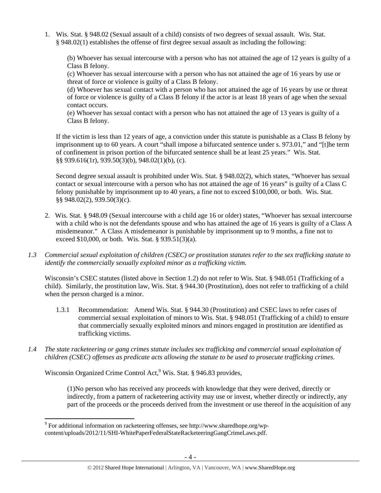1. Wis. Stat. § 948.02 (Sexual assault of a child) consists of two degrees of sexual assault. Wis. Stat. § 948.02(1) establishes the offense of first degree sexual assault as including the following:

(b) Whoever has sexual intercourse with a person who has not attained the age of 12 years is guilty of a Class B felony.

(c) Whoever has sexual intercourse with a person who has not attained the age of 16 years by use or threat of force or violence is guilty of a Class B felony.

(d) Whoever has sexual contact with a person who has not attained the age of 16 years by use or threat of force or violence is guilty of a Class B felony if the actor is at least 18 years of age when the sexual contact occurs.

(e) Whoever has sexual contact with a person who has not attained the age of 13 years is guilty of a Class B felony.

If the victim is less than 12 years of age, a conviction under this statute is punishable as a Class B felony by imprisonment up to 60 years. A court "shall impose a bifurcated sentence under s. 973.01," and "[t]he term of confinement in prison portion of the bifurcated sentence shall be at least 25 years." Wis. Stat. §§ 939.616(1r), 939.50(3)(b), 948.02(1)(b), (c).

Second degree sexual assault is prohibited under Wis. Stat. § 948.02(2), which states, "Whoever has sexual contact or sexual intercourse with a person who has not attained the age of 16 years" is guilty of a Class C felony punishable by imprisonment up to 40 years, a fine not to exceed \$100,000, or both. Wis. Stat. §§ 948.02(2), 939.50(3)(c).

- 2. Wis. Stat. § 948.09 (Sexual intercourse with a child age 16 or older) states, "Whoever has sexual intercourse with a child who is not the defendants spouse and who has attained the age of 16 years is guilty of a Class A misdemeanor." A Class A misdemeanor is punishable by imprisonment up to 9 months, a fine not to exceed \$10,000, or both. Wis. Stat. § 939.51(3)(a).
- *1.3 Commercial sexual exploitation of children (CSEC) or prostitution statutes refer to the sex trafficking statute to identify the commercially sexually exploited minor as a trafficking victim.*

Wisconsin's CSEC statutes (listed above in Section 1.2) do not refer to Wis. Stat. § 948.051 (Trafficking of a child). Similarly, the prostitution law, Wis. Stat. § 944.30 (Prostitution), does not refer to trafficking of a child when the person charged is a minor.

- 1.3.1 Recommendation: Amend Wis. Stat. § 944.30 (Prostitution) and CSEC laws to refer cases of commercial sexual exploitation of minors to Wis. Stat. § 948.051 (Trafficking of a child) to ensure that commercially sexually exploited minors and minors engaged in prostitution are identified as trafficking victims.
- *1.4 The state racketeering or gang crimes statute includes sex trafficking and commercial sexual exploitation of children (CSEC) offenses as predicate acts allowing the statute to be used to prosecute trafficking crimes.*

Wisconsin Organized Crime Control Act,<sup>9</sup> Wis. Stat. § 946.83 provides,

(1)No person who has received any proceeds with knowledge that they were derived, directly or indirectly, from a pattern of racketeering activity may use or invest, whether directly or indirectly, any part of the proceeds or the proceeds derived from the investment or use thereof in the acquisition of any

<sup>&</sup>lt;sup>9</sup> For additional information on racketeering offenses, see http://www.sharedhope.org/wpcontent/uploads/2012/11/SHI-WhitePaperFederalStateRacketeeringGangCrimeLaws.pdf.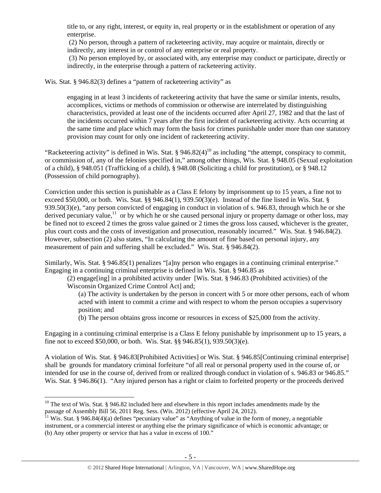title to, or any right, interest, or equity in, real property or in the establishment or operation of any enterprise.

(2) No person, through a pattern of racketeering activity, may acquire or maintain, directly or indirectly, any interest in or control of any enterprise or real property.

(3) No person employed by, or associated with, any enterprise may conduct or participate, directly or indirectly, in the enterprise through a pattern of racketeering activity.

Wis. Stat. § 946.82(3) defines a "pattern of racketeering activity" as

engaging in at least 3 incidents of racketeering activity that have the same or similar intents, results, accomplices, victims or methods of commission or otherwise are interrelated by distinguishing characteristics, provided at least one of the incidents occurred after April 27, 1982 and that the last of the incidents occurred within 7 years after the first incident of racketeering activity. Acts occurring at the same time and place which may form the basis for crimes punishable under more than one statutory provision may count for only one incident of racketeering activity.

"Racketeering activity" is defined in Wis. Stat. § 946.82(4)<sup>10</sup> as including "the attempt, conspiracy to commit, or commission of, any of the felonies specified in," among other things, Wis. Stat. § 948.05 (Sexual exploitation of a child), § 948.051 (Trafficking of a child), § 948.08 (Soliciting a child for prostitution), or § 948.12 (Possession of child pornography).

Conviction under this section is punishable as a Class E felony by imprisonment up to 15 years, a fine not to exceed \$50,000, or both. Wis. Stat. §§ 946.84(1), 939.50(3)(e). Instead of the fine listed in Wis. Stat. § 939.50(3)(e), "any person convicted of engaging in conduct in violation of s. 946.83, through which he or she derived pecuniary value,  $\frac{11}{10}$  or by which he or she caused personal injury or property damage or other loss, may be fined not to exceed 2 times the gross value gained or 2 times the gross loss caused, whichever is the greater, plus court costs and the costs of investigation and prosecution, reasonably incurred." Wis. Stat. § 946.84(2). However, subsection (2) also states, "In calculating the amount of fine based on personal injury, any measurement of pain and suffering shall be excluded." Wis. Stat. § 946.84(2).

Similarly, Wis. Stat. § 946.85(1) penalizes "[a]ny person who engages in a continuing criminal enterprise." Engaging in a continuing criminal enterprise is defined in Wis. Stat. § 946.85 as

(2) engage[ing] in a prohibited activity under [Wis. Stat. § 946.83 (Prohibited activities) of the Wisconsin Organized Crime Control Act] and;

(a) The activity is undertaken by the person in concert with 5 or more other persons, each of whom acted with intent to commit a crime and with respect to whom the person occupies a supervisory position; and

(b) The person obtains gross income or resources in excess of \$25,000 from the activity.

Engaging in a continuing criminal enterprise is a Class E felony punishable by imprisonment up to 15 years, a fine not to exceed \$50,000, or both. Wis. Stat. §§ 946.85(1), 939.50(3)(e).

A violation of Wis. Stat. § 946.83[Prohibited Activities] or Wis. Stat. § 946.85[Continuing criminal enterprise] shall be grounds for mandatory criminal forfeiture "of all real or personal property used in the course of, or intended for use in the course of, derived from or realized through conduct in violation of s. 946.83 or 946.85." Wis. Stat. § 946.86(1). "Any injured person has a right or claim to forfeited property or the proceeds derived

  $10$  The text of Wis. Stat. § 946.82 included here and elsewhere in this report includes amendments made by the passage of Assembly Bill 56, 2011 Reg. Sess. (Wis. 2012) (effective April 24, 2012).<br><sup>11</sup> Wis. Stat. § 946.84(4)(a) defines "pecuniary value" as "Anything of value in the form of money, a negotiable

instrument, or a commercial interest or anything else the primary significance of which is economic advantage; or (b) Any other property or service that has a value in excess of 100."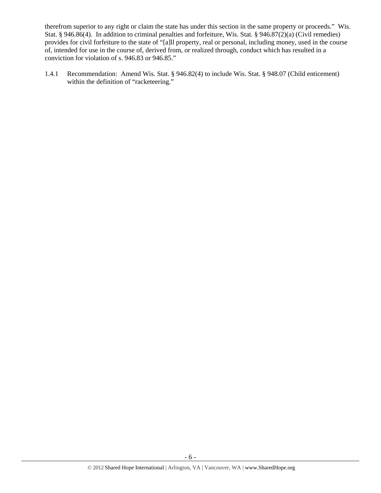therefrom superior to any right or claim the state has under this section in the same property or proceeds." Wis. Stat. § 946.86(4). In addition to criminal penalties and forfeiture, Wis. Stat. § 946.87(2)(a) (Civil remedies) provides for civil forfeiture to the state of "[a]ll property, real or personal, including money, used in the course of, intended for use in the course of, derived from, or realized through, conduct which has resulted in a conviction for violation of s. 946.83 or 946.85."

1.4.1 Recommendation: Amend Wis. Stat. § 946.82(4) to include Wis. Stat. § 948.07 (Child enticement) within the definition of "racketeering."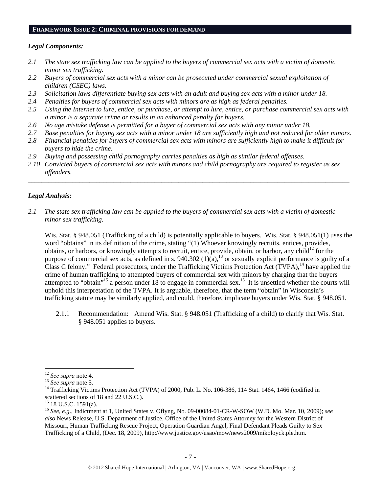#### **FRAMEWORK ISSUE 2: CRIMINAL PROVISIONS FOR DEMAND**

#### *Legal Components:*

- *2.1 The state sex trafficking law can be applied to the buyers of commercial sex acts with a victim of domestic minor sex trafficking.*
- *2.2 Buyers of commercial sex acts with a minor can be prosecuted under commercial sexual exploitation of children (CSEC) laws.*
- *2.3 Solicitation laws differentiate buying sex acts with an adult and buying sex acts with a minor under 18.*
- *2.4 Penalties for buyers of commercial sex acts with minors are as high as federal penalties.*
- *2.5 Using the Internet to lure, entice, or purchase, or attempt to lure, entice, or purchase commercial sex acts with a minor is a separate crime or results in an enhanced penalty for buyers.*
- *2.6 No age mistake defense is permitted for a buyer of commercial sex acts with any minor under 18.*
- *2.7 Base penalties for buying sex acts with a minor under 18 are sufficiently high and not reduced for older minors.*
- *2.8 Financial penalties for buyers of commercial sex acts with minors are sufficiently high to make it difficult for buyers to hide the crime.*
- *2.9 Buying and possessing child pornography carries penalties as high as similar federal offenses.*
- *2.10 Convicted buyers of commercial sex acts with minors and child pornography are required to register as sex offenders.*

\_\_\_\_\_\_\_\_\_\_\_\_\_\_\_\_\_\_\_\_\_\_\_\_\_\_\_\_\_\_\_\_\_\_\_\_\_\_\_\_\_\_\_\_\_\_\_\_\_\_\_\_\_\_\_\_\_\_\_\_\_\_\_\_\_\_\_\_\_\_\_\_\_\_\_\_\_\_\_\_\_\_\_\_\_\_\_\_\_\_\_\_\_\_

## *Legal Analysis:*

*2.1 The state sex trafficking law can be applied to the buyers of commercial sex acts with a victim of domestic minor sex trafficking.* 

Wis. Stat. § 948.051 (Trafficking of a child) is potentially applicable to buyers. Wis. Stat. § 948.051(1) uses the word "obtains" in its definition of the crime, stating "(1) Whoever knowingly recruits, entices, provides, obtains, or harbors, or knowingly attempts to recruit, entice, provide, obtain, or harbor, any child<sup>12</sup> for the purpose of commercial sex acts, as defined in s.  $940.302 (1)(a)$ ,<sup>13</sup> or sexually explicit performance is guilty of a Class C felony." Federal prosecutors, under the Trafficking Victims Protection Act (TVPA), <sup>14</sup> have applied the crime of human trafficking to attempted buyers of commercial sex with minors by charging that the buyers attempted to "obtain"<sup>15</sup> a person under 18 to engage in commercial sex.<sup>16</sup> It is unsettled whether the courts will uphold this interpretation of the TVPA. It is arguable, therefore, that the term "obtain" in Wisconsin's trafficking statute may be similarly applied, and could, therefore, implicate buyers under Wis. Stat. § 948.051.

2.1.1 Recommendation: Amend Wis. Stat. § 948.051 (Trafficking of a child) to clarify that Wis. Stat. § 948.051 applies to buyers.

<sup>&</sup>lt;sup>12</sup> *See supra* note 4.<br><sup>13</sup> *See supra* note 5.<br><sup>14</sup> Trafficking Victims Protection Act (TVPA) of 2000, Pub. L. No. 106-386, 114 Stat. 1464, 1466 (codified in scattered sections of 18 and 22 U.S.C.).

 $15$  18 U.S.C. 1591(a).

<sup>16</sup> *See, e.g*., Indictment at 1, United States v. Oflyng, No. 09-00084-01-CR-W-SOW (W.D. Mo. Mar. 10, 2009); *see also* News Release, U.S. Department of Justice, Office of the United States Attorney for the Western District of Missouri, Human Trafficking Rescue Project, Operation Guardian Angel, Final Defendant Pleads Guilty to Sex Trafficking of a Child, (Dec. 18, 2009), http://www.justice.gov/usao/mow/news2009/mikoloyck.ple.htm.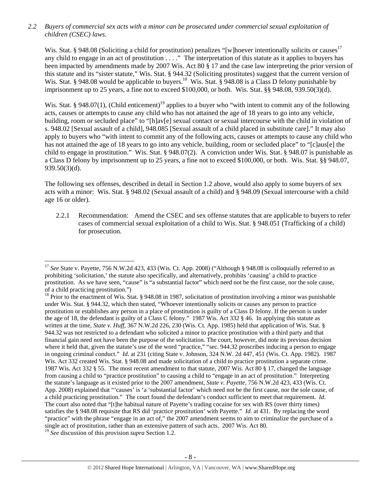*2.2 Buyers of commercial sex acts with a minor can be prosecuted under commercial sexual exploitation of children (CSEC) laws.* 

Wis. Stat. § 948.08 (Soliciting a child for prostitution) penalizes "[w]hoever intentionally solicits or causes<sup>17</sup> any child to engage in an act of prostitution . . . ." The interpretation of this statute as it applies to buyers has been impacted by amendments made by 2007 Wis. Act 80 § 17 and the case law interpreting the prior version of this statute and its "sister statute," Wis. Stat. § 944.32 (Soliciting prostitutes) suggest that the current version of Wis. Stat. § 948.08 would be applicable to buyers.<sup>18</sup> Wis. Stat. § 948.08 is a Class D felony punishable by imprisonment up to 25 years, a fine not to exceed \$100,000, or both. Wis. Stat. §§ 948.08, 939.50(3)(d).

Wis. Stat. § 948.07(1), (Child enticement)<sup>19</sup> applies to a buyer who "with intent to commit any of the following acts, causes or attempts to cause any child who has not attained the age of 18 years to go into any vehicle, building, room or secluded place" to "[h]av[e] sexual contact or sexual intercourse with the child in violation of s. 948.02 [Sexual assault of a child], 948.085 [Sexual assault of a child placed in substitute care]." It may also apply to buyers who "with intent to commit any of the following acts, causes or attempts to cause any child who has not attained the age of 18 years to go into any vehicle, building, room or secluded place" to "[c]aus[e] the child to engage in prostitution." Wis. Stat. § 948.07(2). A conviction under Wis. Stat. § 948.07 is punishable as a Class D felony by imprisonment up to 25 years, a fine not to exceed \$100,000, or both. Wis. Stat. §§ 948.07, 939.50(3)(d).

The following sex offenses, described in detail in Section 1.2 above, would also apply to some buyers of sex acts with a minor: Wis. Stat. § 948.02 (Sexual assault of a child) and § 948.09 (Sexual intercourse with a child age 16 or older).

2.2.1 Recommendation: Amend the CSEC and sex offense statutes that are applicable to buyers to refer cases of commercial sexual exploitation of a child to Wis. Stat. § 948.051 (Trafficking of a child) for prosecution.

 <sup>17</sup> See State v. Payette, 756 N.W.2d 423, 433 (Wis. Ct. App. 2008) ("Although § 948.08 is colloquially referred to as prohibiting 'solicitation,' the statute also specifically, and alternatively, prohibits 'causing' a child to practice prostitution. As we have seen, "cause" is "a substantial factor" which need not be the first cause, nor the sole cause, of a child practicing prostitution.")

<sup>&</sup>lt;sup>18</sup> Prior to the enactment of Wis. Stat. § 948.08 in 1987, solicitation of prostitution involving a minor was punishable under Wis. Stat. § 944.32, which then stated, "Whoever intentionally solicits or causes any person to practice prostitution or establishes any person in a place of prostitution is guilty of a Class D felony. If the person is under the age of 18, the defendant is guilty of a Class C felony." 1987 Wis. Act 332 § 46. In applying this statute as written at the time, *State v. Huff*, 367 N.W.2d 226, 230 (Wis. Ct. App. 1985) held that application of Wis. Stat. § 944.32 was not restricted to a defendant who solicited a minor to practice prostitution with a third party and that financial gain need not have been the purpose of the solicitation. The court, however, did note its previous decision where it held that, given the statute's use of the word "practice," "sec. 944.32 proscribes inducing a person to engage in ongoing criminal conduct." *Id*. at 231 (citing State v. Johnson, 324 N.W. 2d 447, 451 (Wis. Ct. App. 1982). 1987 Wis. Act 332 created Wis. Stat. § 948.08 and made solicitation of a child to practice prostitution a separate crime. 1987 Wis. Act 332 § 55. The most recent amendment to that statute, 2007 Wis. Act 80 § 17, changed the language from causing a child to "practice prostitution" to causing a child to "engage in an act of prostitution." Interpreting the statute's language as it existed prior to the 2007 amendment, *State v. Payette*, 756 N.W.2d 423, 433 (Wis. Ct. App. 2008) explained that "'causes' is 'a 'substantial factor' which need not be the first cause, nor the sole cause, of a child practicing prostitution." The court found the defendant's conduct sufficient to meet that requirement. *Id*. The court also noted that "[t]he habitual nature of Payette's trading cocaine for sex with RS (over thirty times) satisfies the § 948.08 requisite that RS did 'practice prostitution' with Payette." *Id.* at 431. By replacing the word "practice" with the phrase "engage in an act of," the 2007 amendment seems to aim to criminalize the purchase of a single act of prostitution, rather than an extensive pattern of such acts. 2007 Wis. Act 80.

<sup>19</sup> *See* discussion of this provision *supra* Section 1.2.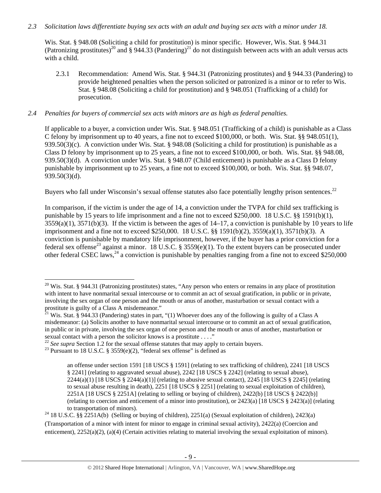## *2.3 Solicitation laws differentiate buying sex acts with an adult and buying sex acts with a minor under 18.*

Wis. Stat. § 948.08 (Soliciting a child for prostitution) is minor specific. However, Wis. Stat. § 944.31 (Patronizing prostitutes)<sup>20</sup> and § 944.33 (Pandering)<sup>21</sup> do not distinguish between acts with an adult versus acts with a child.

2.3.1 Recommendation: Amend Wis. Stat. § 944.31 (Patronizing prostitutes) and § 944.33 (Pandering) to provide heightened penalties when the person solicited or patronized is a minor or to refer to Wis. Stat. § 948.08 (Soliciting a child for prostitution) and § 948.051 (Trafficking of a child) for prosecution.

## *2.4 Penalties for buyers of commercial sex acts with minors are as high as federal penalties.*

If applicable to a buyer, a conviction under Wis. Stat. § 948.051 (Trafficking of a child) is punishable as a Class C felony by imprisonment up to 40 years, a fine not to exceed \$100,000, or both. Wis. Stat. §§ 948.051(1), 939.50(3)(c). A conviction under Wis. Stat. § 948.08 (Soliciting a child for prostitution) is punishable as a Class D felony by imprisonment up to 25 years, a fine not to exceed \$100,000, or both. Wis. Stat. §§ 948.08, 939.50(3)(d). A conviction under Wis. Stat. § 948.07 (Child enticement) is punishable as a Class D felony punishable by imprisonment up to 25 years, a fine not to exceed \$100,000, or both. Wis. Stat. §§ 948.07, 939.50(3)(d).

Buyers who fall under Wisconsin's sexual offense statutes also face potentially lengthy prison sentences.<sup>22</sup>

In comparison, if the victim is under the age of 14, a conviction under the TVPA for child sex trafficking is punishable by 15 years to life imprisonment and a fine not to exceed \$250,000. 18 U.S.C. §§ 1591(b)(1),  $3559(a)(1)$ ,  $3571(b)(3)$ . If the victim is between the ages of  $14-17$ , a conviction is punishable by 10 years to life imprisonment and a fine not to exceed \$250,000. 18 U.S.C. §§ 1591(b)(2), 3559(a)(1), 3571(b)(3). A conviction is punishable by mandatory life imprisonment, however, if the buyer has a prior conviction for a federal sex offense<sup>23</sup> against a minor. 18 U.S.C. § 3559(e)(1). To the extent buyers can be prosecuted under other federal CSEC laws,  $^{24}$  a conviction is punishable by penalties ranging from a fine not to exceed \$250,000

 $20$  Wis. Stat. § 944.31 (Patronizing prostitutes) states, "Any person who enters or remains in any place of prostitution with intent to have nonmarital sexual intercourse or to commit an act of sexual gratification, in public or in private, involving the sex organ of one person and the mouth or anus of another, masturbation or sexual contact with a prostitute is guilty of a Class A misdemeanor."

 $^{21}$  Wis. Stat. § 944.33 (Pandering) states in part, "(1) Whoever does any of the following is guilty of a Class A misdemeanor: (a) Solicits another to have nonmarital sexual intercourse or to commit an act of sexual gratification, in public or in private, involving the sex organ of one person and the mouth or anus of another, masturbation or sexual contact with a person the solicitor knows is a prostitute . . . ."

<sup>&</sup>lt;sup>22</sup> *See supra* Section 1.2 for the sexual offense statutes that may apply to certain buyers.<br><sup>23</sup> Pursuant to 18 U.S.C. § 3559(e)(2), "federal sex offense" is defined as

an offense under section 1591 [18 USCS § 1591] (relating to sex trafficking of children), 2241 [18 USCS § 2241] (relating to aggravated sexual abuse), 2242 [18 USCS § 2242] (relating to sexual abuse),  $2244(a)(1)$  [18 USCS §  $2244(a)(1)$ ] (relating to abusive sexual contact),  $2245$  [18 USCS § 2245] (relating to sexual abuse resulting in death), 2251 [18 USCS § 2251] (relating to sexual exploitation of children), 2251A [18 USCS § 2251A] (relating to selling or buying of children), 2422(b) [18 USCS § 2422(b)] (relating to coercion and enticement of a minor into prostitution), or 2423(a) [18 USCS § 2423(a)] (relating

to transportation of minors).<br><sup>24</sup> 18 U.S.C. §§ 2251A(b) (Selling or buying of children), 2251(a) (Sexual exploitation of children), 2423(a) (Transportation of a minor with intent for minor to engage in criminal sexual activity), 2422(a) (Coercion and enticement), 2252(a)(2), (a)(4) (Certain activities relating to material involving the sexual exploitation of minors).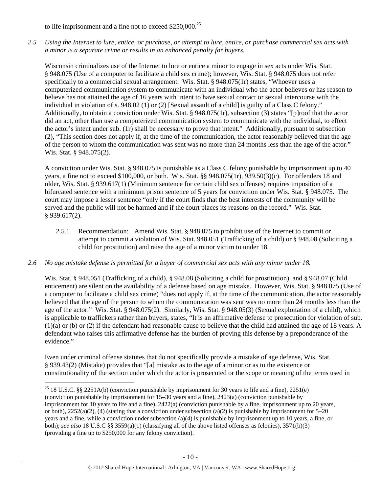to life imprisonment and a fine not to exceed \$250,000.<sup>25</sup>

*2.5 Using the Internet to lure, entice, or purchase, or attempt to lure, entice, or purchase commercial sex acts with a minor is a separate crime or results in an enhanced penalty for buyers.* 

Wisconsin criminalizes use of the Internet to lure or entice a minor to engage in sex acts under Wis. Stat. § 948.075 (Use of a computer to facilitate a child sex crime); however, Wis. Stat. § 948.075 does not refer specifically to a commercial sexual arrangement. Wis. Stat. § 948.075(1r) states, "Whoever uses a computerized communication system to communicate with an individual who the actor believes or has reason to believe has not attained the age of 16 years with intent to have sexual contact or sexual intercourse with the individual in violation of s. 948.02 (1) or (2) [Sexual assault of a child] is guilty of a Class C felony." Additionally, to obtain a conviction under Wis. Stat. § 948.075(1r), subsection (3) states "[p]roof that the actor did an act, other than use a computerized communication system to communicate with the individual, to effect the actor's intent under sub. (1r) shall be necessary to prove that intent." Additionally, pursuant to subsection (2), "This section does not apply if, at the time of the communication, the actor reasonably believed that the age of the person to whom the communication was sent was no more than 24 months less than the age of the actor." Wis. Stat. § 948.075(2).

A conviction under Wis. Stat. § 948.075 is punishable as a Class C felony punishable by imprisonment up to 40 years, a fine not to exceed \$100,000, or both. Wis. Stat. §§ 948.075(1r), 939.50(3)(c). For offenders 18 and older, Wis. Stat. § 939.617(1) (Minimum sentence for certain child sex offenses) requires imposition of a bifurcated sentence with a minimum prison sentence of 5 years for conviction under Wis. Stat. § 948.075. The court may impose a lesser sentence "only if the court finds that the best interests of the community will be served and the public will not be harmed and if the court places its reasons on the record." Wis. Stat. § 939.617(2).

2.5.1 Recommendation: Amend Wis. Stat. § 948.075 to prohibit use of the Internet to commit or attempt to commit a violation of Wis. Stat. 948.051 (Trafficking of a child) or § 948.08 (Soliciting a child for prostitution) and raise the age of a minor victim to under 18.

## *2.6 No age mistake defense is permitted for a buyer of commercial sex acts with any minor under 18.*

Wis. Stat. § 948.051 (Trafficking of a child), § 948.08 (Soliciting a child for prostitution), and § 948.07 (Child enticement) are silent on the availability of a defense based on age mistake. However, Wis. Stat. § 948.075 (Use of a computer to facilitate a child sex crime) "does not apply if, at the time of the communication, the actor reasonably believed that the age of the person to whom the communication was sent was no more than 24 months less than the age of the actor." Wis. Stat. § 948.075(2). Similarly, Wis. Stat. § 948.05(3) (Sexual exploitation of a child), which is applicable to traffickers rather than buyers, states, "It is an affirmative defense to prosecution for violation of sub. (1)(a) or (b) or (2) if the defendant had reasonable cause to believe that the child had attained the age of 18 years. A defendant who raises this affirmative defense has the burden of proving this defense by a preponderance of the evidence."

Even under criminal offense statutes that do not specifically provide a mistake of age defense, Wis. Stat. § 939.43(2) (Mistake) provides that "[a] mistake as to the age of a minor or as to the existence or constitutionality of the section under which the actor is prosecuted or the scope or meaning of the terms used in

<sup>25</sup> 18 U.S.C. §§ 2251A(b) (conviction punishable by imprisonment for 30 years to life and a fine), 2251(e) (conviction punishable by imprisonment for 15–30 years and a fine), 2423(a) (conviction punishable by imprisonment for 10 years to life and a fine), 2422(a) (conviction punishable by a fine, imprisonment up to 20 years, or both),  $2252(a)(2)$ , (4) (stating that a conviction under subsection (a)(2) is punishable by imprisonment for 5–20 years and a fine, while a conviction under subsection (a)(4) is punishable by imprisonment up to 10 years, a fine, or both); *see also* 18 U.S.C §§ 3559(a)(1) (classifying all of the above listed offenses as felonies), 3571(b)(3) (providing a fine up to \$250,000 for any felony conviction).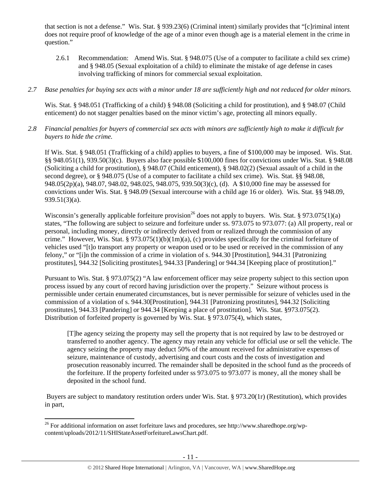that section is not a defense." Wis. Stat. § 939.23(6) (Criminal intent) similarly provides that "[c]riminal intent does not require proof of knowledge of the age of a minor even though age is a material element in the crime in question."

- 2.6.1 Recommendation: Amend Wis. Stat. § 948.075 (Use of a computer to facilitate a child sex crime) and § 948.05 (Sexual exploitation of a child) to eliminate the mistake of age defense in cases involving trafficking of minors for commercial sexual exploitation.
- *2.7 Base penalties for buying sex acts with a minor under 18 are sufficiently high and not reduced for older minors.*

Wis. Stat. § 948.051 (Trafficking of a child) § 948.08 (Soliciting a child for prostitution), and § 948.07 (Child enticement) do not stagger penalties based on the minor victim's age, protecting all minors equally.

*2.8 Financial penalties for buyers of commercial sex acts with minors are sufficiently high to make it difficult for buyers to hide the crime.* 

If Wis. Stat. § 948.051 (Trafficking of a child) applies to buyers, a fine of \$100,000 may be imposed. Wis. Stat. §§ 948.051(1), 939.50(3)(c). Buyers also face possible \$100,000 fines for convictions under Wis. Stat. § 948.08 (Soliciting a child for prostitution), § 948.07 (Child enticement), § 948.02(2) (Sexual assault of a child in the second degree), or § 948.075 (Use of a computer to facilitate a child sex crime). Wis. Stat. §§ 948.08, 948.05(2p)(a), 948.07, 948.02, 948.025, 948.075, 939.50(3)(c), (d). A \$10,000 fine may be assessed for convictions under Wis. Stat. § 948.09 (Sexual intercourse with a child age 16 or older). Wis. Stat. §§ 948.09, 939.51(3)(a).

Wisconsin's generally applicable forfeiture provision<sup>26</sup> does not apply to buyers. Wis. Stat. § 973.075(1)(a) states, "The following are subject to seizure and forfeiture under ss. 973.075 to 973.077: (a) All property, real or personal, including money, directly or indirectly derived from or realized through the commission of any crime." However, Wis. Stat. § 973.075(1)(b)(1m)(a), (c) provides specifically for the criminal forfeiture of vehicles used "[t]o transport any property or weapon used or to be used or received in the commission of any felony," or "[i]n the commission of a crime in violation of s. 944.30 [Prostitution], 944.31 [Patronizing prostitutes], 944.32 [Soliciting prostitutes], 944.33 [Pandering] or 944.34 [Keeping place of prostitution]."

Pursuant to Wis. Stat. § 973.075(2) "A law enforcement officer may seize property subject to this section upon process issued by any court of record having jurisdiction over the property." Seizure without process is permissible under certain enumerated circumstances, but is never permissible for seizure of vehicles used in the commission of a violation of s. 944.30[Prostitution], 944.31 [Patronizing prostitutes], 944.32 [Soliciting prostitutes], 944.33 [Pandering] or 944.34 [Keeping a place of prostitution]. Wis. Stat. §973.075(2). Distribution of forfeited property is governed by Wis. Stat. § 973.075(4), which states,

[T]he agency seizing the property may sell the property that is not required by law to be destroyed or transferred to another agency. The agency may retain any vehicle for official use or sell the vehicle. The agency seizing the property may deduct 50% of the amount received for administrative expenses of seizure, maintenance of custody, advertising and court costs and the costs of investigation and prosecution reasonably incurred. The remainder shall be deposited in the school fund as the proceeds of the forfeiture. If the property forfeited under ss 973.075 to 973.077 is money, all the money shall be deposited in the school fund.

 Buyers are subject to mandatory restitution orders under Wis. Stat. § 973.20(1r) (Restitution), which provides in part,

 <sup>26</sup> For additional information on asset forfeiture laws and procedures, see http://www.sharedhope.org/wpcontent/uploads/2012/11/SHIStateAssetForfeitureLawsChart.pdf.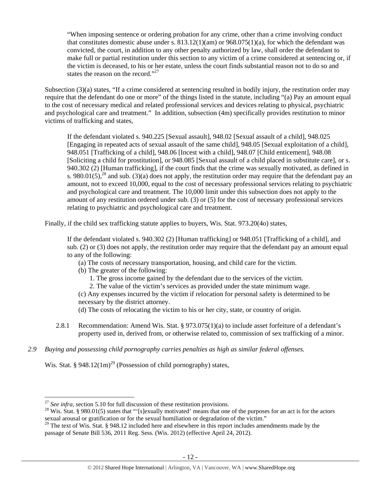"When imposing sentence or ordering probation for any crime, other than a crime involving conduct that constitutes domestic abuse under s.  $813.12(1)(am)$  or  $968.075(1)(a)$ , for which the defendant was convicted, the court, in addition to any other penalty authorized by law, shall order the defendant to make full or partial restitution under this section to any victim of a crime considered at sentencing or, if the victim is deceased, to his or her estate, unless the court finds substantial reason not to do so and states the reason on the record."<sup>27</sup>

Subsection (3)(a) states, "If a crime considered at sentencing resulted in bodily injury, the restitution order may require that the defendant do one or more" of the things listed in the statute, including "(a) Pay an amount equal to the cost of necessary medical and related professional services and devices relating to physical, psychiatric and psychological care and treatment." In addition, subsection (4m) specifically provides restitution to minor victims of trafficking and states,

If the defendant violated s. 940.225 [Sexual assault], 948.02 [Sexual assault of a child], 948.025 [Engaging in repeated acts of sexual assault of the same child], 948.05 [Sexual exploitation of a child], 948.051 [Trafficking of a child], 948.06 [Incest with a child], 948.07 [Child enticement], 948.08 [Soliciting a child for prostitution], or 948.085 [Sexual assault of a child placed in substitute care], or s. 940.302 (2) [Human trafficking], if the court finds that the crime was sexually motivated, as defined in s. 980.01(5),<sup>28</sup> and sub. (3)(a) does not apply, the restitution order may require that the defendant pay an amount, not to exceed 10,000, equal to the cost of necessary professional services relating to psychiatric and psychological care and treatment. The 10,000 limit under this subsection does not apply to the amount of any restitution ordered under sub. (3) or (5) for the cost of necessary professional services relating to psychiatric and psychological care and treatment.

Finally, if the child sex trafficking statute applies to buyers, Wis. Stat. 973.20(4o) states,

If the defendant violated s. 940.302 (2) [Human trafficking] or 948.051 [Trafficking of a child], and sub. (2) or (3) does not apply, the restitution order may require that the defendant pay an amount equal to any of the following:

- (a) The costs of necessary transportation, housing, and child care for the victim.
- (b) The greater of the following:
	- 1. The gross income gained by the defendant due to the services of the victim.
	- 2. The value of the victim's services as provided under the state minimum wage.

(c) Any expenses incurred by the victim if relocation for personal safety is determined to be necessary by the district attorney.

(d) The costs of relocating the victim to his or her city, state, or country of origin.

- 2.8.1 Recommendation: Amend Wis. Stat. § 973.075(1)(a) to include asset forfeiture of a defendant's property used in, derived from, or otherwise related to, commission of sex trafficking of a minor.
- *2.9 Buying and possessing child pornography carries penalties as high as similar federal offenses.*

Wis. Stat. § 948.12(1m)<sup>29</sup> (Possession of child pornography) states,

 $^{27}$  See infra, section 5.10 for full discussion of these restitution provisions.

<sup>&</sup>lt;sup>28</sup> Wis. Stat. § 980.01(5) states that "'[s]exually motivated' means that one of the purposes for an act is for the actors sexual arousal or gratification or for the sexual humiliation or degradation of the victim."

 $29$  The text of Wis. Stat. § 948.12 included here and elsewhere in this report includes amendments made by the passage of Senate Bill 536, 2011 Reg. Sess. (Wis. 2012) (effective April 24, 2012).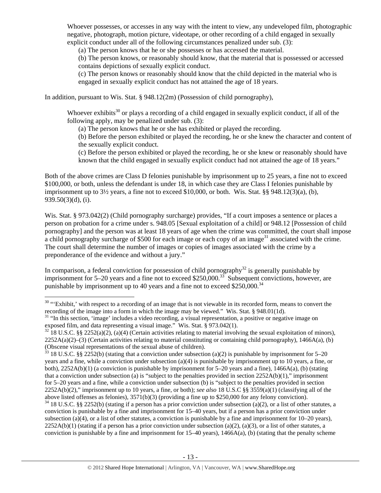Whoever possesses, or accesses in any way with the intent to view, any undeveloped film, photographic negative, photograph, motion picture, videotape, or other recording of a child engaged in sexually explicit conduct under all of the following circumstances penalized under sub. (3):

(a) The person knows that he or she possesses or has accessed the material.

(b) The person knows, or reasonably should know, that the material that is possessed or accessed contains depictions of sexually explicit conduct.

(c) The person knows or reasonably should know that the child depicted in the material who is engaged in sexually explicit conduct has not attained the age of 18 years.

In addition, pursuant to Wis. Stat. § 948.12(2m) (Possession of child pornography),

Whoever exhibits<sup>30</sup> or plays a recording of a child engaged in sexually explicit conduct, if all of the following apply, may be penalized under sub. (3):

(a) The person knows that he or she has exhibited or played the recording.

(b) Before the person exhibited or played the recording, he or she knew the character and content of the sexually explicit conduct.

(c) Before the person exhibited or played the recording, he or she knew or reasonably should have known that the child engaged in sexually explicit conduct had not attained the age of 18 years."

Both of the above crimes are Class D felonies punishable by imprisonment up to 25 years, a fine not to exceed \$100,000, or both, unless the defendant is under 18, in which case they are Class I felonies punishable by imprisonment up to  $3\frac{1}{2}$  years, a fine not to exceed \$10,000, or both. Wis. Stat. §§ 948.12(3)(a), (b), 939.50(3)(d), (i).

Wis. Stat. § 973.042(2) (Child pornography surcharge) provides, "If a court imposes a sentence or places a person on probation for a crime under s. 948.05 [Sexual exploitation of a child] or 948.12 [Possession of child pornography] and the person was at least 18 years of age when the crime was committed, the court shall impose a child pornography surcharge of \$500 for each image or each copy of an image<sup>31</sup> associated with the crime. The court shall determine the number of images or copies of images associated with the crime by a preponderance of the evidence and without a jury."

In comparison, a federal conviction for possession of child pornography<sup>32</sup> is generally punishable by imprisonment for 5–20 years and a fine not to exceed \$250,000.<sup>33</sup> Subsequent convictions, however, are punishable by imprisonment up to 40 years and a fine not to exceed  $$250,000$ .<sup>34</sup>

<sup>&</sup>lt;sup>30</sup> "Exhibit,' with respect to a recording of an image that is not viewable in its recorded form, means to convert the recording of the image into a form in which the image may be viewed." Wis. Stat. § 948.01(1d).

<sup>&</sup>lt;sup>31</sup> "In this section, 'image' includes a video recording, a visual representation, a positive or negative image on exposed film, and data representing a visual image." Wis. Stat. § 973.042(1).<br><sup>32</sup> 18 U.S.C. §§ 2252(a)(2), (a)(4) (Certain activities relating to material involving the sexual exploitation of minors),

 $2252A(a)(2)$ –(3) (Certain activities relating to material constituting or containing child pornography), 1466A(a), (b) (Obscene visual representations of the sexual abuse of children).

<sup>&</sup>lt;sup>33</sup> 18 U.S.C. §§ 2252(b) (stating that a conviction under subsection (a)(2) is punishable by imprisonment for 5–20 years and a fine, while a conviction under subsection (a)(4) is punishable by imprisonment up to 10 years, a fine, or both), 2252A(b)(1) (a conviction is punishable by imprisonment for 5–20 years and a fine), 1466A(a), (b) (stating that a conviction under subsection (a) is "subject to the penalties provided in section  $2252A(b)(1)$ ," imprisonment for 5–20 years and a fine, while a conviction under subsection (b) is "subject to the penalties provided in section 2252A(b)(2)," imprisonment up to 10 years, a fine, or both); *see also* 18 U.S.C §§ 3559(a)(1) (classifying all of the above listed offenses as felonies), 3571(b)(3) (providing a fine up to \$250,000 for any felony conviction).

 $34$  18 U.S.C. §§ 2252(b) (stating if a person has a prior conviction under subsection (a)(2), or a list of other statutes, a conviction is punishable by a fine and imprisonment for 15–40 years, but if a person has a prior conviction under subsection (a)(4), or a list of other statutes, a conviction is punishable by a fine and imprisonment for  $10-20$  years),  $2252A(b)(1)$  (stating if a person has a prior conviction under subsection (a)(2), (a)(3), or a list of other statutes, a conviction is punishable by a fine and imprisonment for  $15-40$  years),  $1466A(a)$ , (b) (stating that the penalty scheme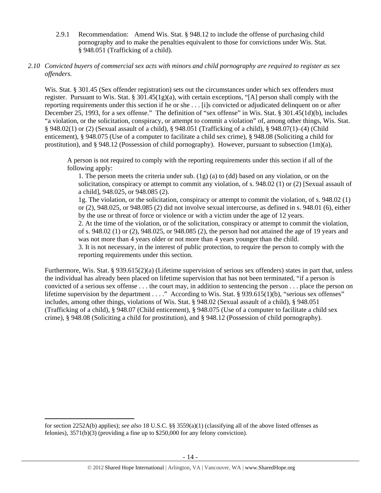2.9.1 Recommendation: Amend Wis. Stat. § 948.12 to include the offense of purchasing child pornography and to make the penalties equivalent to those for convictions under Wis. Stat. § 948.051 (Trafficking of a child).

## *2.10 Convicted buyers of commercial sex acts with minors and child pornography are required to register as sex offenders.*

Wis. Stat. § 301.45 (Sex offender registration) sets out the circumstances under which sex offenders must register. Pursuant to Wis. Stat. §  $301.45(1g)(a)$ , with certain exceptions, "[A] person shall comply with the reporting requirements under this section if he or she . . . [i]s convicted or adjudicated delinquent on or after December 25, 1993, for a sex offense." The definition of "sex offense" in Wis. Stat. § 301.45(1d)(b), includes "a violation, or the solicitation, conspiracy, or attempt to commit a violation" of, among other things, Wis. Stat. § 948.02(1) or (2) (Sexual assault of a child), § 948.051 (Trafficking of a child), § 948.07(1)–(4) (Child enticement), § 948.075 (Use of a computer to facilitate a child sex crime), § 948.08 (Soliciting a child for prostitution), and § 948.12 (Possession of child pornography). However, pursuant to subsection (1m)(a),

A person is not required to comply with the reporting requirements under this section if all of the following apply:

1. The person meets the criteria under sub. (1g) (a) to (dd) based on any violation, or on the solicitation, conspiracy or attempt to commit any violation, of s. 948.02 (1) or (2) [Sexual assault of a child], 948.025, or 948.085 (2).

1g. The violation, or the solicitation, conspiracy or attempt to commit the violation, of s. 948.02 (1) or (2), 948.025, or 948.085 (2) did not involve sexual intercourse, as defined in s. 948.01 (6), either by the use or threat of force or violence or with a victim under the age of 12 years.

2. At the time of the violation, or of the solicitation, conspiracy or attempt to commit the violation, of s. 948.02 (1) or (2), 948.025, or 948.085 (2), the person had not attained the age of 19 years and was not more than 4 years older or not more than 4 years younger than the child.

3. It is not necessary, in the interest of public protection, to require the person to comply with the reporting requirements under this section.

Furthermore, Wis. Stat. § 939.615(2)(a) (Lifetime supervision of serious sex offenders) states in part that, unless the individual has already been placed on lifetime supervision that has not been terminated, "if a person is convicted of a serious sex offense . . . the court may, in addition to sentencing the person . . . place the person on lifetime supervision by the department . . . ." According to Wis. Stat. § 939.615(1)(b), "serious sex offenses" includes, among other things, violations of Wis. Stat. § 948.02 (Sexual assault of a child), § 948.051 (Trafficking of a child), § 948.07 (Child enticement), § 948.075 (Use of a computer to facilitate a child sex crime), § 948.08 (Soliciting a child for prostitution), and § 948.12 (Possession of child pornography).

for section 2252A(b) applies); *see also* 18 U.S.C. §§ 3559(a)(1) (classifying all of the above listed offenses as felonies), 3571(b)(3) (providing a fine up to \$250,000 for any felony conviction).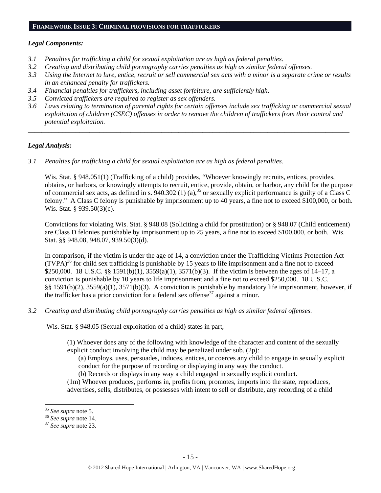#### **FRAMEWORK ISSUE 3: CRIMINAL PROVISIONS FOR TRAFFICKERS**

#### *Legal Components:*

- *3.1 Penalties for trafficking a child for sexual exploitation are as high as federal penalties.*
- *3.2 Creating and distributing child pornography carries penalties as high as similar federal offenses.*
- *3.3 Using the Internet to lure, entice, recruit or sell commercial sex acts with a minor is a separate crime or results in an enhanced penalty for traffickers.*
- *3.4 Financial penalties for traffickers, including asset forfeiture, are sufficiently high.*
- *3.5 Convicted traffickers are required to register as sex offenders.*
- *3.6 Laws relating to termination of parental rights for certain offenses include sex trafficking or commercial sexual exploitation of children (CSEC) offenses in order to remove the children of traffickers from their control and potential exploitation.*

*\_\_\_\_\_\_\_\_\_\_\_\_\_\_\_\_\_\_\_\_\_\_\_\_\_\_\_\_\_\_\_\_\_\_\_\_\_\_\_\_\_\_\_\_\_\_\_\_\_\_\_\_\_\_\_\_\_\_\_\_\_\_\_\_\_\_\_\_\_\_\_\_\_\_\_\_\_\_\_\_\_\_\_\_\_\_\_\_\_\_\_\_\_\_* 

## *Legal Analysis:*

*3.1 Penalties for trafficking a child for sexual exploitation are as high as federal penalties.* 

Wis. Stat. § 948.051(1) (Trafficking of a child) provides, "Whoever knowingly recruits, entices, provides, obtains, or harbors, or knowingly attempts to recruit, entice, provide, obtain, or harbor, any child for the purpose obtains, or narools, or knowingly attempts to recently embed by explicity explicit performance is guilty of a Class C of commercial sex acts, as defined in s. 940.302 (1) (a),  $^{35}$  or sexually explicit performance is gu felony." A Class C felony is punishable by imprisonment up to 40 years, a fine not to exceed \$100,000, or both. Wis. Stat. § 939.50(3)(c).

Convictions for violating Wis. Stat. § 948.08 (Soliciting a child for prostitution) or § 948.07 (Child enticement) are Class D felonies punishable by imprisonment up to 25 years, a fine not to exceed \$100,000, or both. Wis. Stat. §§ 948.08, 948.07, 939.50(3)(d).

In comparison, if the victim is under the age of 14, a conviction under the Trafficking Victims Protection Act  $(TVPA)<sup>36</sup>$  for child sex trafficking is punishable by 15 years to life imprisonment and a fine not to exceed \$250,000. 18 U.S.C. §§ 1591(b)(1), 3559(a)(1), 3571(b)(3). If the victim is between the ages of 14–17, a conviction is punishable by 10 years to life imprisonment and a fine not to exceed \$250,000. 18 U.S.C. §§ 1591(b)(2), 3559(a)(1), 3571(b)(3). A conviction is punishable by mandatory life imprisonment, however, if the trafficker has a prior conviction for a federal sex offense<sup>37</sup> against a minor.

*3.2 Creating and distributing child pornography carries penalties as high as similar federal offenses.* 

Wis. Stat. § 948.05 (Sexual exploitation of a child) states in part,

(1) Whoever does any of the following with knowledge of the character and content of the sexually explicit conduct involving the child may be penalized under sub. (2p):

(a) Employs, uses, persuades, induces, entices, or coerces any child to engage in sexually explicit conduct for the purpose of recording or displaying in any way the conduct.

(b) Records or displays in any way a child engaged in sexually explicit conduct.

(1m) Whoever produces, performs in, profits from, promotes, imports into the state, reproduces, advertises, sells, distributes, or possesses with intent to sell or distribute, any recording of a child

 $35$  See supra note 5.

<sup>35</sup> *See supra* note 5. 36 *See supra* note 14. 37 *See supra* note 23.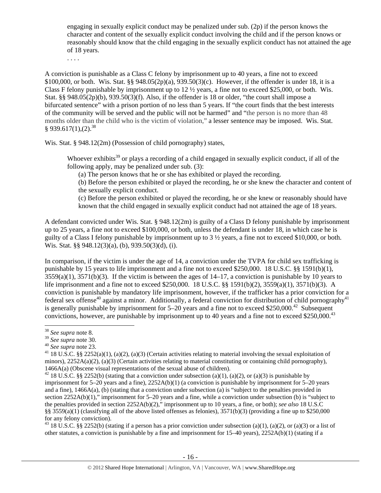engaging in sexually explicit conduct may be penalized under sub. (2p) if the person knows the character and content of the sexually explicit conduct involving the child and if the person knows or reasonably should know that the child engaging in the sexually explicit conduct has not attained the age of 18 years.

. . . .

A conviction is punishable as a Class C felony by imprisonment up to 40 years, a fine not to exceed \$100,000, or both. Wis. Stat. §§ 948.05(2p)(a), 939.50(3)(c). However, if the offender is under 18, it is a Class F felony punishable by imprisonment up to 12 ½ years, a fine not to exceed \$25,000, or both. Wis. Stat. §§ 948.05(2p)(b), 939.50(3)(f). Also, if the offender is 18 or older, "the court shall impose a bifurcated sentence" with a prison portion of no less than 5 years. If "the court finds that the best interests of the community will be served and the public will not be harmed" and "the person is no more than 48 months older than the child who is the victim of violation," a lesser sentence may be imposed. Wis. Stat.  $§$  939.617(1),(2).<sup>38</sup>

Wis. Stat. § 948.12(2m) (Possession of child pornography) states,

Whoever exhibits<sup>39</sup> or plays a recording of a child engaged in sexually explicit conduct, if all of the following apply, may be penalized under sub. (3):

(a) The person knows that he or she has exhibited or played the recording.

(b) Before the person exhibited or played the recording, he or she knew the character and content of the sexually explicit conduct.

(c) Before the person exhibited or played the recording, he or she knew or reasonably should have known that the child engaged in sexually explicit conduct had not attained the age of 18 years.

A defendant convicted under Wis. Stat. § 948.12(2m) is guilty of a Class D felony punishable by imprisonment up to 25 years, a fine not to exceed \$100,000, or both, unless the defendant is under 18, in which case he is guilty of a Class I felony punishable by imprisonment up to 3 ½ years, a fine not to exceed \$10,000, or both. Wis. Stat. §§ 948.12(3)(a), (b), 939.50(3)(d), (i).

In comparison, if the victim is under the age of 14, a conviction under the TVPA for child sex trafficking is punishable by 15 years to life imprisonment and a fine not to exceed \$250,000. 18 U.S.C. §§ 1591(b)(1),  $3559(a)(1)$ ,  $3571(b)(3)$ . If the victim is between the ages of  $14-17$ , a conviction is punishable by 10 years to life imprisonment and a fine not to exceed \$250,000. 18 U.S.C. §§ 1591(b)(2), 3559(a)(1), 3571(b)(3). A conviction is punishable by mandatory life imprisonment, however, if the trafficker has a prior conviction for a federal sex offense<sup>40</sup> against a minor. Additionally, a federal conviction for distribution of child pornography<sup>41</sup> is generally punishable by imprisonment for  $5-20$  years and a fine not to exceed \$250,000.<sup>42</sup> Subsequent convictions, however, are punishable by imprisonment up to 40 years and a fine not to exceed \$250,000.<sup>43</sup>

<sup>43</sup> 18 U.S.C. §§ 2252(b) (stating if a person has a prior conviction under subsection (a)(1), (a)(2), or (a)(3) or a list of other statutes, a conviction is punishable by a fine and imprisonment for 15–40 years), 2252A(b)(1) (stating if a

<sup>38</sup> *See supra* note 8.

<sup>&</sup>lt;sup>40</sup> See supra note 23.<br><sup>41</sup> 18 U.S.C. §§ 2252(a)(1), (a)(2), (a)(3) (Certain activities relating to material involving the sexual exploitation of minors),  $2252A(a)(2)$ ,  $(a)(3)$  (Certain activities relating to material constituting or containing child pornography), 1466A(a) (Obscene visual representations of the sexual abuse of children).<br><sup>42</sup> 18 U.S.C. §§ 2252(b) (stating that a conviction under subsection (a)(1), (a)(2), or (a)(3) is punishable by

imprisonment for 5–20 years and a fine), 2252A(b)(1) (a conviction is punishable by imprisonment for 5–20 years and a fine), 1466A(a), (b) (stating that a conviction under subsection (a) is "subject to the penalties provided in section 2252A(b)(1)," imprisonment for 5–20 years and a fine, while a conviction under subsection (b) is "subject to the penalties provided in section 2252A(b)(2)," imprisonment up to 10 years, a fine, or both); *see also* 18 U.S.C §§ 3559(a)(1) (classifying all of the above listed offenses as felonies),  $3571(b)(3)$  (providing a fine up to \$250,000 for any felony conviction).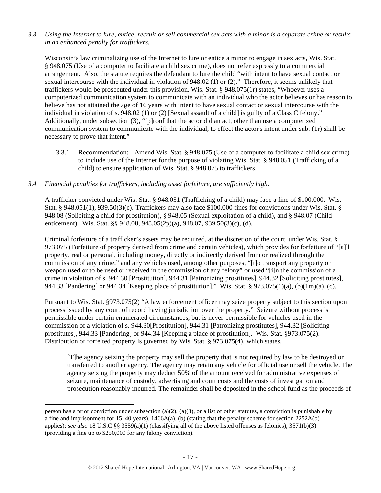*3.3 Using the Internet to lure, entice, recruit or sell commercial sex acts with a minor is a separate crime or results in an enhanced penalty for traffickers.* 

Wisconsin's law criminalizing use of the Internet to lure or entice a minor to engage in sex acts, Wis. Stat. § 948.075 (Use of a computer to facilitate a child sex crime), does not refer expressly to a commercial arrangement. Also, the statute requires the defendant to lure the child "with intent to have sexual contact or sexual intercourse with the individual in violation of 948.02 (1) or (2)." Therefore, it seems unlikely that traffickers would be prosecuted under this provision. Wis. Stat. § 948.075(1r) states, "Whoever uses a computerized communication system to communicate with an individual who the actor believes or has reason to believe has not attained the age of 16 years with intent to have sexual contact or sexual intercourse with the individual in violation of s. 948.02 (1) or (2) [Sexual assault of a child] is guilty of a Class C felony." Additionally, under subsection (3), "[p]roof that the actor did an act, other than use a computerized communication system to communicate with the individual, to effect the actor's intent under sub. (1r) shall be necessary to prove that intent."

3.3.1 Recommendation: Amend Wis. Stat. § 948.075 (Use of a computer to facilitate a child sex crime) to include use of the Internet for the purpose of violating Wis. Stat. § 948.051 (Trafficking of a child) to ensure application of Wis. Stat. § 948.075 to traffickers.

## *3.4 Financial penalties for traffickers, including asset forfeiture, are sufficiently high.*

A trafficker convicted under Wis. Stat. § 948.051 (Trafficking of a child) may face a fine of \$100,000. Wis. Stat. § 948.051(1), 939.50(3)(c). Traffickers may also face \$100,000 fines for convictions under Wis. Stat. § 948.08 (Soliciting a child for prostitution), § 948.05 (Sexual exploitation of a child), and § 948.07 (Child enticement). Wis. Stat. §§ 948.08, 948.05(2p)(a), 948.07, 939.50(3)(c), (d).

Criminal forfeiture of a trafficker's assets may be required, at the discretion of the court, under Wis. Stat. § 973.075 (Forfeiture of property derived from crime and certain vehicles), which provides for forfeiture of "[a]ll property, real or personal, including money, directly or indirectly derived from or realized through the commission of any crime," and any vehicles used, among other purposes, "[t]o transport any property or weapon used or to be used or received in the commission of any felony" or used "[i]n the commission of a crime in violation of s. 944.30 [Prostitution], 944.31 [Patronizing prostitutes], 944.32 [Soliciting prostitutes], 944.33 [Pandering] or 944.34 [Keeping place of prostitution]." Wis. Stat. § 973.075(1)(a), (b)(1m)(a), (c).

Pursuant to Wis. Stat. §973.075(2) "A law enforcement officer may seize property subject to this section upon process issued by any court of record having jurisdiction over the property." Seizure without process is permissible under certain enumerated circumstances, but is never permissible for vehicles used in the commission of a violation of s. 944.30[Prostitution], 944.31 [Patronizing prostitutes], 944.32 [Soliciting prostitutes], 944.33 [Pandering] or 944.34 [Keeping a place of prostitution]. Wis. Stat. §973.075(2). Distribution of forfeited property is governed by Wis. Stat. § 973.075(4), which states,

[T]he agency seizing the property may sell the property that is not required by law to be destroyed or transferred to another agency. The agency may retain any vehicle for official use or sell the vehicle. The agency seizing the property may deduct 50% of the amount received for administrative expenses of seizure, maintenance of custody, advertising and court costs and the costs of investigation and prosecution reasonably incurred. The remainder shall be deposited in the school fund as the proceeds of

person has a prior conviction under subsection (a)(2), (a)(3), or a list of other statutes, a conviction is punishable by a fine and imprisonment for  $15-40$  years),  $1466A(a)$ , (b) (stating that the penalty scheme for section  $2252A(b)$ applies); *see also* 18 U.S.C §§ 3559(a)(1) (classifying all of the above listed offenses as felonies), 3571(b)(3) (providing a fine up to \$250,000 for any felony conviction).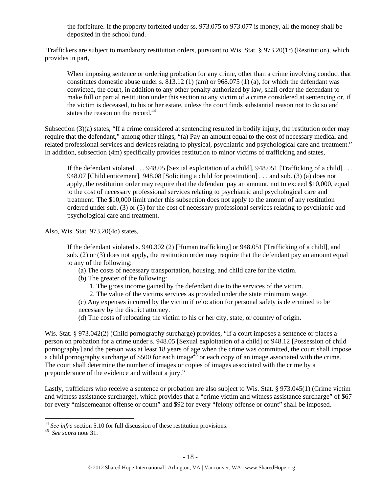the forfeiture. If the property forfeited under ss. 973.075 to 973.077 is money, all the money shall be deposited in the school fund.

 Traffickers are subject to mandatory restitution orders, pursuant to Wis. Stat. § 973.20(1r) (Restitution), which provides in part,

When imposing sentence or ordering probation for any crime, other than a crime involving conduct that constitutes domestic abuse under s.  $813.12$  (1) (am) or  $968.075$  (1) (a), for which the defendant was convicted, the court, in addition to any other penalty authorized by law, shall order the defendant to make full or partial restitution under this section to any victim of a crime considered at sentencing or, if the victim is deceased, to his or her estate, unless the court finds substantial reason not to do so and states the reason on the record.<sup>44</sup>

Subsection (3)(a) states, "If a crime considered at sentencing resulted in bodily injury, the restitution order may require that the defendant," among other things, "(a) Pay an amount equal to the cost of necessary medical and related professional services and devices relating to physical, psychiatric and psychological care and treatment." In addition, subsection (4m) specifically provides restitution to minor victims of trafficking and states,

If the defendant violated . . . 948.05 [Sexual exploitation of a child], 948.051 [Trafficking of a child] . . . 948.07 [Child enticement], 948.08 [Soliciting a child for prostitution] . . . and sub. (3) (a) does not apply, the restitution order may require that the defendant pay an amount, not to exceed \$10,000, equal to the cost of necessary professional services relating to psychiatric and psychological care and treatment. The \$10,000 limit under this subsection does not apply to the amount of any restitution ordered under sub. (3) or (5) for the cost of necessary professional services relating to psychiatric and psychological care and treatment.

Also, Wis. Stat. 973.20(4o) states,

If the defendant violated s. 940.302 (2) [Human trafficking] or 948.051 [Trafficking of a child], and sub. (2) or (3) does not apply, the restitution order may require that the defendant pay an amount equal to any of the following:

- (a) The costs of necessary transportation, housing, and child care for the victim.
- (b) The greater of the following:
	- 1. The gross income gained by the defendant due to the services of the victim.
	- 2. The value of the victims services as provided under the state minimum wage.

(c) Any expenses incurred by the victim if relocation for personal safety is determined to be necessary by the district attorney.

(d) The costs of relocating the victim to his or her city, state, or country of origin.

Wis. Stat. § 973.042(2) (Child pornography surcharge) provides, "If a court imposes a sentence or places a person on probation for a crime under s. 948.05 [Sexual exploitation of a child] or 948.12 [Possession of child pornography] and the person was at least 18 years of age when the crime was committed, the court shall impose a child pornography surcharge of \$500 for each image<sup>45</sup> or each copy of an image associated with the crime. The court shall determine the number of images or copies of images associated with the crime by a preponderance of the evidence and without a jury."

Lastly, traffickers who receive a sentence or probation are also subject to Wis. Stat. § 973.045(1) (Crime victim and witness assistance surcharge), which provides that a "crime victim and witness assistance surcharge" of \$67 for every "misdemeanor offense or count" and \$92 for every "felony offense or count" shall be imposed.

 <sup>44</sup> *See infra* section 5.10 for full discussion of these restitution provisions. 45 *See supra* note 31.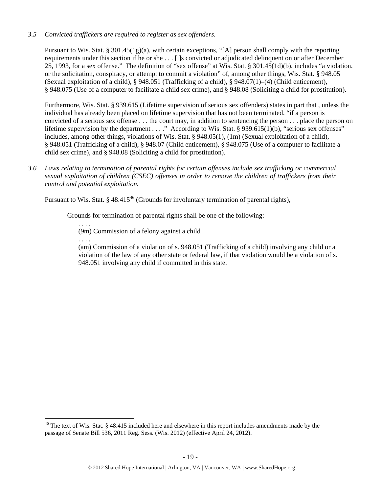## *3.5 Convicted traffickers are required to register as sex offenders.*

Pursuant to Wis. Stat. § 301.45(1g)(a), with certain exceptions, "[A] person shall comply with the reporting requirements under this section if he or she . . . [i]s convicted or adjudicated delinquent on or after December 25, 1993, for a sex offense." The definition of "sex offense" at Wis. Stat. § 301.45(1d)(b), includes "a violation, or the solicitation, conspiracy, or attempt to commit a violation" of, among other things, Wis. Stat. § 948.05 (Sexual exploitation of a child), § 948.051 (Trafficking of a child), § 948.07(1)–(4) (Child enticement), § 948.075 (Use of a computer to facilitate a child sex crime), and § 948.08 (Soliciting a child for prostitution).

Furthermore, Wis. Stat. § 939.615 (Lifetime supervision of serious sex offenders) states in part that , unless the individual has already been placed on lifetime supervision that has not been terminated, "if a person is convicted of a serious sex offense . . . the court may, in addition to sentencing the person . . . place the person on lifetime supervision by the department . . . ." According to Wis. Stat. § 939.615(1)(b), "serious sex offenses" includes, among other things, violations of Wis. Stat. § 948.05(1), (1m) (Sexual exploitation of a child), § 948.051 (Trafficking of a child), § 948.07 (Child enticement), § 948.075 (Use of a computer to facilitate a child sex crime), and § 948.08 (Soliciting a child for prostitution).

*3.6 Laws relating to termination of parental rights for certain offenses include sex trafficking or commercial sexual exploitation of children (CSEC) offenses in order to remove the children of traffickers from their control and potential exploitation.* 

Pursuant to Wis. Stat. § 48.415<sup>46</sup> (Grounds for involuntary termination of parental rights),

Grounds for termination of parental rights shall be one of the following:

(9m) Commission of a felony against a child

. . . .

. . . .

(am) Commission of a violation of s. 948.051 (Trafficking of a child) involving any child or a violation of the law of any other state or federal law, if that violation would be a violation of s. 948.051 involving any child if committed in this state.

<sup>&</sup>lt;sup>46</sup> The text of Wis. Stat. § 48.415 included here and elsewhere in this report includes amendments made by the passage of Senate Bill 536, 2011 Reg. Sess. (Wis. 2012) (effective April 24, 2012).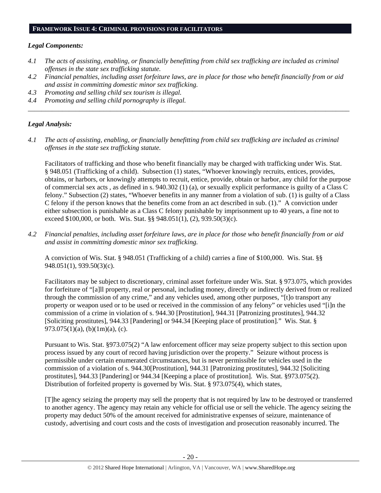#### **FRAMEWORK ISSUE 4: CRIMINAL PROVISIONS FOR FACILITATORS**

#### *Legal Components:*

- *4.1 The acts of assisting, enabling, or financially benefitting from child sex trafficking are included as criminal offenses in the state sex trafficking statute.*
- *4.2 Financial penalties, including asset forfeiture laws, are in place for those who benefit financially from or aid and assist in committing domestic minor sex trafficking.*

*\_\_\_\_\_\_\_\_\_\_\_\_\_\_\_\_\_\_\_\_\_\_\_\_\_\_\_\_\_\_\_\_\_\_\_\_\_\_\_\_\_\_\_\_\_\_\_\_\_\_\_\_\_\_\_\_\_\_\_\_\_\_\_\_\_\_\_\_\_\_\_\_\_\_\_\_\_\_\_\_\_\_\_\_\_\_\_\_\_\_\_\_\_\_* 

- *4.3 Promoting and selling child sex tourism is illegal.*
- *4.4 Promoting and selling child pornography is illegal.*

## *Legal Analysis:*

*4.1 The acts of assisting, enabling, or financially benefitting from child sex trafficking are included as criminal offenses in the state sex trafficking statute.* 

Facilitators of trafficking and those who benefit financially may be charged with trafficking under Wis. Stat. § 948.051 (Trafficking of a child). Subsection (1) states, "Whoever knowingly recruits, entices, provides, obtains, or harbors, or knowingly attempts to recruit, entice, provide, obtain or harbor, any child for the purpose of commercial sex acts , as defined in s. 940.302 (1) (a), or sexually explicit performance is guilty of a Class C felony." Subsection (2) states, "Whoever benefits in any manner from a violation of sub. (1) is guilty of a Class C felony if the person knows that the benefits come from an act described in sub. (1)." A conviction under either subsection is punishable as a Class C felony punishable by imprisonment up to 40 years, a fine not to exceed \$100,000, or both. Wis. Stat. §§ 948.051(1), (2), 939.50(3)(c).

*4.2 Financial penalties, including asset forfeiture laws, are in place for those who benefit financially from or aid and assist in committing domestic minor sex trafficking.* 

A conviction of Wis. Stat. § 948.051 (Trafficking of a child) carries a fine of \$100,000. Wis. Stat. §§ 948.051(1), 939.50(3)(c).

Facilitators may be subject to discretionary, criminal asset forfeiture under Wis. Stat. § 973.075, which provides for forfeiture of "[a]ll property, real or personal, including money, directly or indirectly derived from or realized through the commission of any crime," and any vehicles used, among other purposes, "[t]o transport any property or weapon used or to be used or received in the commission of any felony" or vehicles used "[i]n the commission of a crime in violation of s. 944.30 [Prostitution], 944.31 [Patronizing prostitutes], 944.32 [Soliciting prostitutes], 944.33 [Pandering] or 944.34 [Keeping place of prostitution]." Wis. Stat. § 973.075(1)(a), (b)(1m)(a), (c).

Pursuant to Wis. Stat. §973.075(2) "A law enforcement officer may seize property subject to this section upon process issued by any court of record having jurisdiction over the property." Seizure without process is permissible under certain enumerated circumstances, but is never permissible for vehicles used in the commission of a violation of s. 944.30[Prostitution], 944.31 [Patronizing prostitutes], 944.32 [Soliciting prostitutes], 944.33 [Pandering] or 944.34 [Keeping a place of prostitution]. Wis. Stat. §973.075(2). Distribution of forfeited property is governed by Wis. Stat. § 973.075(4), which states,

[T]he agency seizing the property may sell the property that is not required by law to be destroyed or transferred to another agency. The agency may retain any vehicle for official use or sell the vehicle. The agency seizing the property may deduct 50% of the amount received for administrative expenses of seizure, maintenance of custody, advertising and court costs and the costs of investigation and prosecution reasonably incurred. The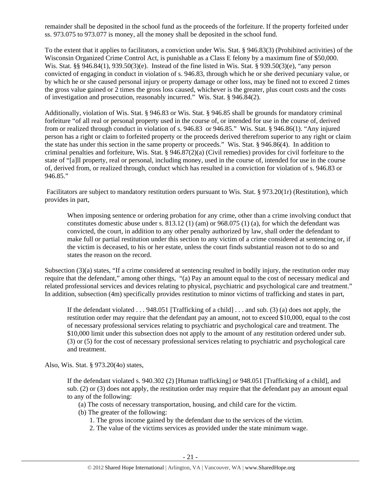remainder shall be deposited in the school fund as the proceeds of the forfeiture. If the property forfeited under ss. 973.075 to 973.077 is money, all the money shall be deposited in the school fund.

To the extent that it applies to facilitators, a conviction under Wis. Stat. § 946.83(3) (Prohibited activities) of the Wisconsin Organized Crime Control Act, is punishable as a Class E felony by a maximum fine of \$50,000. Wis. Stat. §§ 946.84(1), 939.50(3)(e). Instead of the fine listed in Wis. Stat. § 939.50(3)(e), "any person convicted of engaging in conduct in violation of s. 946.83, through which he or she derived pecuniary value, or by which he or she caused personal injury or property damage or other loss, may be fined not to exceed 2 times the gross value gained or 2 times the gross loss caused, whichever is the greater, plus court costs and the costs of investigation and prosecution, reasonably incurred." Wis. Stat. § 946.84(2).

Additionally, violation of Wis. Stat. § 946.83 or Wis. Stat. § 946.85 shall be grounds for mandatory criminal forfeiture "of all real or personal property used in the course of, or intended for use in the course of, derived from or realized through conduct in violation of s. 946.83 or 946.85." Wis. Stat. § 946.86(1). "Any injured person has a right or claim to forfeited property or the proceeds derived therefrom superior to any right or claim the state has under this section in the same property or proceeds." Wis. Stat. § 946.86(4). In addition to criminal penalties and forfeiture, Wis. Stat. § 946.87(2)(a) (Civil remedies) provides for civil forfeiture to the state of "[a]ll property, real or personal, including money, used in the course of, intended for use in the course of, derived from, or realized through, conduct which has resulted in a conviction for violation of s. 946.83 or 946.85."

 Facilitators are subject to mandatory restitution orders pursuant to Wis. Stat. § 973.20(1r) (Restitution), which provides in part,

When imposing sentence or ordering probation for any crime, other than a crime involving conduct that constitutes domestic abuse under s. 813.12 (1) (am) or 968.075 (1) (a), for which the defendant was convicted, the court, in addition to any other penalty authorized by law, shall order the defendant to make full or partial restitution under this section to any victim of a crime considered at sentencing or, if the victim is deceased, to his or her estate, unless the court finds substantial reason not to do so and states the reason on the record.

Subsection (3)(a) states, "If a crime considered at sentencing resulted in bodily injury, the restitution order may require that the defendant," among other things, "(a) Pay an amount equal to the cost of necessary medical and related professional services and devices relating to physical, psychiatric and psychological care and treatment." In addition, subsection (4m) specifically provides restitution to minor victims of trafficking and states in part,

If the defendant violated  $\dots$  948.051 [Trafficking of a child]  $\dots$  and sub. (3) (a) does not apply, the restitution order may require that the defendant pay an amount, not to exceed \$10,000, equal to the cost of necessary professional services relating to psychiatric and psychological care and treatment. The \$10,000 limit under this subsection does not apply to the amount of any restitution ordered under sub. (3) or (5) for the cost of necessary professional services relating to psychiatric and psychological care and treatment.

Also, Wis. Stat. § 973.20(4o) states,

If the defendant violated s. 940.302 (2) [Human trafficking] or 948.051 [Trafficking of a child], and sub. (2) or (3) does not apply, the restitution order may require that the defendant pay an amount equal to any of the following:

- (a) The costs of necessary transportation, housing, and child care for the victim.
- (b) The greater of the following:
	- 1. The gross income gained by the defendant due to the services of the victim.
	- 2. The value of the victims services as provided under the state minimum wage.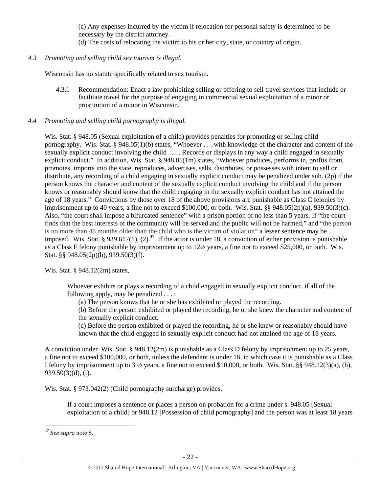(c) Any expenses incurred by the victim if relocation for personal safety is determined to be necessary by the district attorney.

(d) The costs of relocating the victim to his or her city, state, or country of origin.

# *4.3 Promoting and selling child sex tourism is illegal.*

Wisconsin has no statute specifically related to sex tourism.

4.3.1 Recommendation: Enact a law prohibiting selling or offering to sell travel services that include or facilitate travel for the purpose of engaging in commercial sexual exploitation of a minor or prostitution of a minor in Wisconsin.

## *4.4 Promoting and selling child pornography is illegal.*

Wis. Stat. § 948.05 (Sexual exploitation of a child) provides penalties for promoting or selling child pornography. Wis. Stat. § 948.05(1)(b) states, "Whoever . . . with knowledge of the character and content of the sexually explicit conduct involving the child . . . . Records or displays in any way a child engaged in sexually explicit conduct." In addition, Wis. Stat. § 948.05(1m) states, "Whoever produces, performs in, profits from, promotes, imports into the state, reproduces, advertises, sells, distributes, or possesses with intent to sell or distribute, any recording of a child engaging in sexually explicit conduct may be penalized under sub. (2p) if the person knows the character and content of the sexually explicit conduct involving the child and if the person knows or reasonably should know that the child engaging in the sexually explicit conduct has not attained the age of 18 years." Convictions by those over 18 of the above provisions are punishable as Class C felonies by imprisonment up to 40 years, a fine not to exceed \$100,000, or both. Wis. Stat. §§ 948.05(2p)(a), 939.50(3)(c). Also, "the court shall impose a bifurcated sentence" with a prison portion of no less than 5 years. If "the court finds that the best interests of the community will be served and the public will not be harmed," and "the person is no more than 48 months older than the child who is the victim of violation" a lesser sentence may be imposed. Wis. Stat. § 939.617(1), (2).<sup>47</sup> If the actor is under 18, a conviction of either provision is punishable as a Class F felony punishable by imprisonment up to 12½ years, a fine not to exceed \$25,000, or both. Wis. Stat. §§ 948.05(2p)(b), 939.50(3)(f).

Wis. Stat. § 948.12(2m) states,

Whoever exhibits or plays a recording of a child engaged in sexually explicit conduct, if all of the following apply, may be penalized . . . :

(a) The person knows that he or she has exhibited or played the recording.

(b) Before the person exhibited or played the recording, he or she knew the character and content of the sexually explicit conduct.

(c) Before the person exhibited or played the recording, he or she knew or reasonably should have known that the child engaged in sexually explicit conduct had not attained the age of 18 years.

A conviction under Wis. Stat. § 948.12(2m) is punishable as a Class D felony by imprisonment up to 25 years, a fine not to exceed \$100,000, or both, unless the defendant is under 18, in which case it is punishable as a Class I felony by imprisonment up to  $3\frac{1}{2}$  years, a fine not to exceed \$10,000, or both. Wis. Stat. §§ 948.12(3)(a), (b), 939.50(3)(d), (i).

Wis. Stat. § 973.042(2) (Child pornography surcharge) provides,

If a court imposes a sentence or places a person on probation for a crime under s. 948.05 [Sexual exploitation of a child] or 948.12 [Possession of child pornography] and the person was at least 18 years

<sup>47</sup> *See supra* note 8.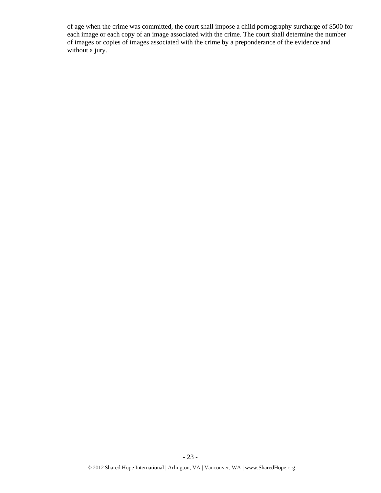of age when the crime was committed, the court shall impose a child pornography surcharge of \$500 for each image or each copy of an image associated with the crime. The court shall determine the number of images or copies of images associated with the crime by a preponderance of the evidence and without a jury.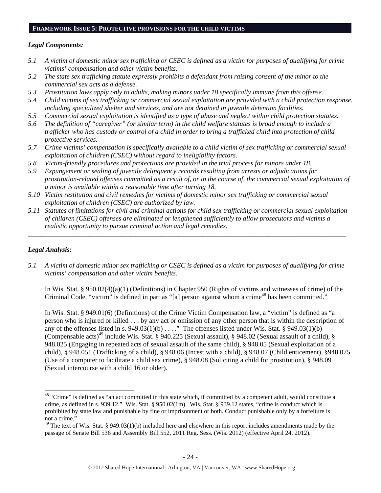#### **FRAMEWORK ISSUE 5: PROTECTIVE PROVISIONS FOR THE CHILD VICTIMS**

#### *Legal Components:*

- *5.1 A victim of domestic minor sex trafficking or CSEC is defined as a victim for purposes of qualifying for crime victims' compensation and other victim benefits.*
- *5.2 The state sex trafficking statute expressly prohibits a defendant from raising consent of the minor to the commercial sex acts as a defense.*
- *5.3 Prostitution laws apply only to adults, making minors under 18 specifically immune from this offense.*
- *5.4 Child victims of sex trafficking or commercial sexual exploitation are provided with a child protection response, including specialized shelter and services, and are not detained in juvenile detention facilities.*
- *5.5 Commercial sexual exploitation is identified as a type of abuse and neglect within child protection statutes.*
- *5.6 The definition of "caregiver" (or similar term) in the child welfare statutes is broad enough to include a trafficker who has custody or control of a child in order to bring a trafficked child into protection of child protective services.*
- *5.7 Crime victims' compensation is specifically available to a child victim of sex trafficking or commercial sexual exploitation of children (CSEC) without regard to ineligibility factors.*
- *5.8 Victim-friendly procedures and protections are provided in the trial process for minors under 18.*
- *5.9 Expungement or sealing of juvenile delinquency records resulting from arrests or adjudications for prostitution-related offenses committed as a result of, or in the course of, the commercial sexual exploitation of a minor is available within a reasonable time after turning 18.*
- *5.10 Victim restitution and civil remedies for victims of domestic minor sex trafficking or commercial sexual exploitation of children (CSEC) are authorized by law.*
- *5.11 Statutes of limitations for civil and criminal actions for child sex trafficking or commercial sexual exploitation of children (CSEC) offenses are eliminated or lengthened sufficiently to allow prosecutors and victims a realistic opportunity to pursue criminal action and legal remedies.*

*\_\_\_\_\_\_\_\_\_\_\_\_\_\_\_\_\_\_\_\_\_\_\_\_\_\_\_\_\_\_\_\_\_\_\_\_\_\_\_\_\_\_\_\_\_\_\_\_\_\_\_\_\_\_\_\_\_\_\_\_\_\_\_\_\_\_\_\_\_\_\_\_\_\_\_\_\_\_\_\_\_\_\_\_\_\_\_\_\_\_\_\_\_* 

## *Legal Analysis:*

*5.1 A victim of domestic minor sex trafficking or CSEC is defined as a victim for purposes of qualifying for crime victims' compensation and other victim benefits.* 

In Wis. Stat. § 950.02(4)(a)(1) (Definitions) in Chapter 950 (Rights of victims and witnesses of crime) of the Criminal Code, "victim" is defined in part as "[a] person against whom a crime<sup>48</sup> has been committed."

In Wis. Stat. § 949.01(6) (Definitions) of the Crime Victim Compensation law, a "victim" is defined as "a person who is injured or killed . . . by any act or omission of any other person that is within the description of any of the offenses listed in s.  $949.03(1)(b)$  . . . ." The offenses listed under Wis. Stat. §  $949.03(1)(b)$ (Compensable acts)<sup>49</sup> include Wis. Stat. § 940.225 (Sexual assault), § 948.02 (Sexual assault of a child), § 948.025 (Engaging in repeated acts of sexual assault of the same child), § 948.05 (Sexual exploitation of a child), § 948.051 (Trafficking of a child), § 948.06 (Incest with a child), § 948.07 (Child enticement), §948.075 (Use of a computer to facilitate a child sex crime), § 948.08 (Soliciting a child for prostitution), § 948.09 (Sexual intercourse with a child 16 or older).

<sup>&</sup>lt;sup>48</sup> "Crime" is defined as "an act committed in this state which, if committed by a competent adult, would constitute a crime, as defined in s. 939.12." Wis. Stat. § 950.02(1m). Wis. Stat. § 939.12 states, "crime is conduct which is prohibited by state law and punishable by fine or imprisonment or both. Conduct punishable only by a forfeiture is not a crime."

 $49$  The text of Wis. Stat. § 949.03(1)(b) included here and elsewhere in this report includes amendments made by the passage of Senate Bill 536 and Assembly Bill 552, 2011 Reg. Sess. (Wis. 2012) (effective April 24, 2012).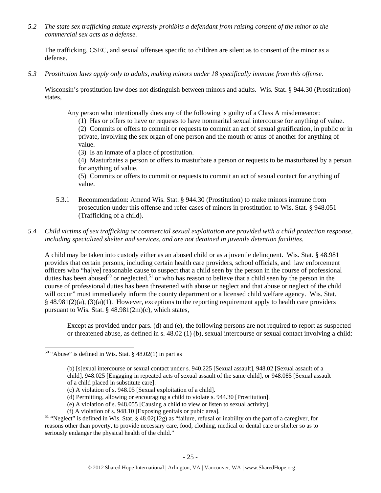*5.2 The state sex trafficking statute expressly prohibits a defendant from raising consent of the minor to the commercial sex acts as a defense.* 

The trafficking, CSEC, and sexual offenses specific to children are silent as to consent of the minor as a defense.

*5.3 Prostitution laws apply only to adults, making minors under 18 specifically immune from this offense.* 

Wisconsin's prostitution law does not distinguish between minors and adults. Wis. Stat. § 944.30 (Prostitution) states,

Any person who intentionally does any of the following is guilty of a Class A misdemeanor:

(1) Has or offers to have or requests to have nonmarital sexual intercourse for anything of value.

(2) Commits or offers to commit or requests to commit an act of sexual gratification, in public or in private, involving the sex organ of one person and the mouth or anus of another for anything of value.

(3) Is an inmate of a place of prostitution.

(4) Masturbates a person or offers to masturbate a person or requests to be masturbated by a person for anything of value.

(5) Commits or offers to commit or requests to commit an act of sexual contact for anything of value.

- 5.3.1 Recommendation: Amend Wis. Stat. § 944.30 (Prostitution) to make minors immune from prosecution under this offense and refer cases of minors in prostitution to Wis. Stat. § 948.051 (Trafficking of a child).
- *5.4 Child victims of sex trafficking or commercial sexual exploitation are provided with a child protection response, including specialized shelter and services, and are not detained in juvenile detention facilities.*

A child may be taken into custody either as an abused child or as a juvenile delinquent. Wis. Stat. § 48.981 provides that certain persons, including certain health care providers, school officials, and law enforcement officers who "ha[ve] reasonable cause to suspect that a child seen by the person in the course of professional duties has been abused<sup>50</sup> or neglected,<sup>51</sup> or who has reason to believe that a child seen by the person in the course of professional duties has been threatened with abuse or neglect and that abuse or neglect of the child will occur" must immediately inform the county department or a licensed child welfare agency. Wis. Stat.  $§$  48.981(2)(a), (3)(a)(1). However, exceptions to the reporting requirement apply to health care providers pursuant to Wis. Stat. § 48.981(2m)(c), which states,

Except as provided under pars. (d) and (e), the following persons are not required to report as suspected or threatened abuse, as defined in s. 48.02 (1) (b), sexual intercourse or sexual contact involving a child:

<sup>&</sup>lt;sup>50</sup> "Abuse" is defined in Wis. Stat. § 48.02(1) in part as

<sup>(</sup>b) [s]exual intercourse or sexual contact under s. 940.225 [Sexual assault], 948.02 [Sexual assault of a child], 948.025 [Engaging in repeated acts of sexual assault of the same child], or 948.085 [Sexual assault of a child placed in substitute care].

<sup>(</sup>c) A violation of s. 948.05 [Sexual exploitation of a child].

<sup>(</sup>d) Permitting, allowing or encouraging a child to violate s. 944.30 [Prostitution].

<sup>(</sup>e) A violation of s. 948.055 [Causing a child to view or listen to sexual activity].

<sup>&</sup>lt;sup>51</sup> "Neglect" is defined in Wis. Stat. § 48.02(12g) as "failure, refusal or inability on the part of a caregiver, for reasons other than poverty, to provide necessary care, food, clothing, medical or dental care or shelter so as to seriously endanger the physical health of the child."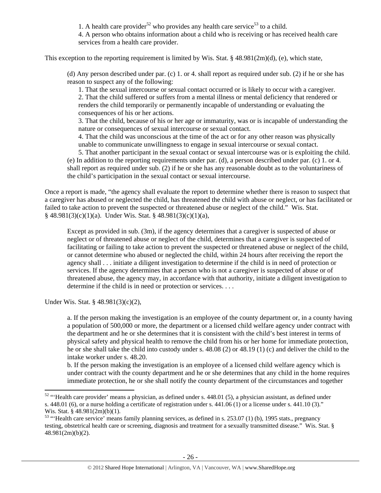1. A health care provider<sup>52</sup> who provides any health care service<sup>53</sup> to a child.

4. A person who obtains information about a child who is receiving or has received health care services from a health care provider.

This exception to the reporting requirement is limited by Wis. Stat. § 48.981(2m)(d), (e), which state,

(d) Any person described under par. (c) 1. or 4. shall report as required under sub. (2) if he or she has reason to suspect any of the following:

1. That the sexual intercourse or sexual contact occurred or is likely to occur with a caregiver. 2. That the child suffered or suffers from a mental illness or mental deficiency that rendered or renders the child temporarily or permanently incapable of understanding or evaluating the consequences of his or her actions.

3. That the child, because of his or her age or immaturity, was or is incapable of understanding the nature or consequences of sexual intercourse or sexual contact.

4. That the child was unconscious at the time of the act or for any other reason was physically unable to communicate unwillingness to engage in sexual intercourse or sexual contact.

5. That another participant in the sexual contact or sexual intercourse was or is exploiting the child. (e) In addition to the reporting requirements under par. (d), a person described under par. (c) 1. or 4. shall report as required under sub. (2) if he or she has any reasonable doubt as to the voluntariness of the child's participation in the sexual contact or sexual intercourse.

Once a report is made, "the agency shall evaluate the report to determine whether there is reason to suspect that a caregiver has abused or neglected the child, has threatened the child with abuse or neglect, or has facilitated or failed to take action to prevent the suspected or threatened abuse or neglect of the child." Wis. Stat.  $§$  48.981(3)(c)(1)(a). Under Wis. Stat. § 48.981(3)(c)(1)(a),

Except as provided in sub. (3m), if the agency determines that a caregiver is suspected of abuse or neglect or of threatened abuse or neglect of the child, determines that a caregiver is suspected of facilitating or failing to take action to prevent the suspected or threatened abuse or neglect of the child, or cannot determine who abused or neglected the child, within 24 hours after receiving the report the agency shall . . . initiate a diligent investigation to determine if the child is in need of protection or services. If the agency determines that a person who is not a caregiver is suspected of abuse or of threatened abuse, the agency may, in accordance with that authority, initiate a diligent investigation to determine if the child is in need or protection or services. . . .

Under Wis. Stat. § 48.981(3)(c)(2),

a. If the person making the investigation is an employee of the county department or, in a county having a population of 500,000 or more, the department or a licensed child welfare agency under contract with the department and he or she determines that it is consistent with the child's best interest in terms of physical safety and physical health to remove the child from his or her home for immediate protection, he or she shall take the child into custody under s. 48.08 (2) or 48.19 (1) (c) and deliver the child to the intake worker under s. 48.20.

b. If the person making the investigation is an employee of a licensed child welfare agency which is under contract with the county department and he or she determines that any child in the home requires immediate protection, he or she shall notify the county department of the circumstances and together

<sup>&</sup>lt;sup>52</sup> "'Health care provider' means a physician, as defined under s. 448.01 (5), a physician assistant, as defined under s.  $448.01$  (6), or a nurse holding a certificate of registration under s.  $441.06$  (1) or a license under s.  $441.10$  (3)." Wis. Stat. § 48.981(2m)(b)(1).

 $53$  "'Health care service' means family planning services, as defined in s. 253.07 (1) (b), 1995 stats., pregnancy testing, obstetrical health care or screening, diagnosis and treatment for a sexually transmitted disease." Wis. Stat. § 48.981(2m)(b)(2).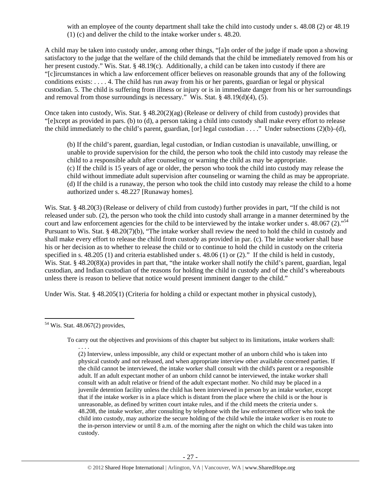with an employee of the county department shall take the child into custody under s. 48.08 (2) or 48.19 (1) (c) and deliver the child to the intake worker under s. 48.20.

A child may be taken into custody under, among other things, "[a]n order of the judge if made upon a showing satisfactory to the judge that the welfare of the child demands that the child be immediately removed from his or her present custody." Wis. Stat. § 48.19(c). Additionally, a child can be taken into custody if there are "[c]ircumstances in which a law enforcement officer believes on reasonable grounds that any of the following conditions exists: . . . . 4. The child has run away from his or her parents, guardian or legal or physical custodian. 5. The child is suffering from illness or injury or is in immediate danger from his or her surroundings and removal from those surroundings is necessary." Wis. Stat. § 48.19(d)(4), (5).

Once taken into custody, Wis. Stat. § 48.20(2)(ag) (Release or delivery of child from custody) provides that "[e]xcept as provided in pars. (b) to (d), a person taking a child into custody shall make every effort to release the child immediately to the child's parent, guardian, [or] legal custodian . . . ." Under subsections  $(2)(b)$ –(d),

(b) If the child's parent, guardian, legal custodian, or Indian custodian is unavailable, unwilling, or unable to provide supervision for the child, the person who took the child into custody may release the child to a responsible adult after counseling or warning the child as may be appropriate. (c) If the child is 15 years of age or older, the person who took the child into custody may release the child without immediate adult supervision after counseling or warning the child as may be appropriate. (d) If the child is a runaway, the person who took the child into custody may release the child to a home authorized under s. 48.227 [Runaway homes].

Wis. Stat. § 48.20(3) (Release or delivery of child from custody) further provides in part, "If the child is not released under sub. (2), the person who took the child into custody shall arrange in a manner determined by the court and law enforcement agencies for the child to be interviewed by the intake worker under s. 48.067 (2)."<sup>54</sup> Pursuant to Wis. Stat. § 48.20(7)(b), "The intake worker shall review the need to hold the child in custody and shall make every effort to release the child from custody as provided in par. (c). The intake worker shall base his or her decision as to whether to release the child or to continue to hold the child in custody on the criteria specified in s. 48.205 (1) and criteria established under s. 48.06 (1) or (2)." If the child is held in custody, Wis. Stat. § 48.20(8)(a) provides in part that, "the intake worker shall notify the child's parent, guardian, legal custodian, and Indian custodian of the reasons for holding the child in custody and of the child's whereabouts unless there is reason to believe that notice would present imminent danger to the child."

Under Wis. Stat. § 48.205(1) (Criteria for holding a child or expectant mother in physical custody),

. . . .

To carry out the objectives and provisions of this chapter but subject to its limitations, intake workers shall:

(2) Interview, unless impossible, any child or expectant mother of an unborn child who is taken into physical custody and not released, and when appropriate interview other available concerned parties. If the child cannot be interviewed, the intake worker shall consult with the child's parent or a responsible adult. If an adult expectant mother of an unborn child cannot be interviewed, the intake worker shall consult with an adult relative or friend of the adult expectant mother. No child may be placed in a juvenile detention facility unless the child has been interviewed in person by an intake worker, except that if the intake worker is in a place which is distant from the place where the child is or the hour is unreasonable, as defined by written court intake rules, and if the child meets the criteria under s. 48.208, the intake worker, after consulting by telephone with the law enforcement officer who took the child into custody, may authorize the secure holding of the child while the intake worker is en route to the in-person interview or until 8 a.m. of the morning after the night on which the child was taken into custody.

 <sup>54</sup> Wis. Stat. 48.067(2) provides,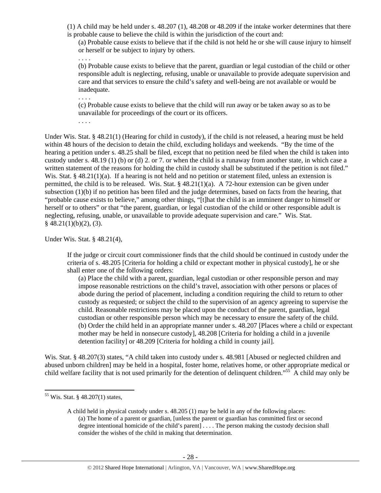(1) A child may be held under s. 48.207 (1), 48.208 or 48.209 if the intake worker determines that there is probable cause to believe the child is within the jurisdiction of the court and:

(a) Probable cause exists to believe that if the child is not held he or she will cause injury to himself or herself or be subject to injury by others.

. . . .

(b) Probable cause exists to believe that the parent, guardian or legal custodian of the child or other responsible adult is neglecting, refusing, unable or unavailable to provide adequate supervision and care and that services to ensure the child's safety and well-being are not available or would be inadequate.

. . . .

. . . .

(c) Probable cause exists to believe that the child will run away or be taken away so as to be unavailable for proceedings of the court or its officers.

Under Wis. Stat. § 48.21(1) (Hearing for child in custody), if the child is not released, a hearing must be held within 48 hours of the decision to detain the child, excluding holidays and weekends. "By the time of the hearing a petition under s. 48.25 shall be filed, except that no petition need be filed when the child is taken into custody under s. 48.19 (1) (b) or (d) 2. or 7. or when the child is a runaway from another state, in which case a written statement of the reasons for holding the child in custody shall be substituted if the petition is not filed." Wis. Stat. §  $48.21(1)(a)$ . If a hearing is not held and no petition or statement filed, unless an extension is permitted, the child is to be released. Wis. Stat.  $\S$  48.21(1)(a). A 72-hour extension can be given under subsection (1)(b) if no petition has been filed and the judge determines, based on facts from the hearing, that "probable cause exists to believe," among other things, "[t]hat the child is an imminent danger to himself or herself or to others" or that "the parent, guardian, or legal custodian of the child or other responsible adult is neglecting, refusing, unable, or unavailable to provide adequate supervision and care." Wis. Stat.  $§$  48.21(1)(b)(2), (3).

Under Wis. Stat. § 48.21(4),

If the judge or circuit court commissioner finds that the child should be continued in custody under the criteria of s. 48.205 [Criteria for holding a child or expectant mother in physical custody], he or she shall enter one of the following orders:

(a) Place the child with a parent, guardian, legal custodian or other responsible person and may impose reasonable restrictions on the child's travel, association with other persons or places of abode during the period of placement, including a condition requiring the child to return to other custody as requested; or subject the child to the supervision of an agency agreeing to supervise the child. Reasonable restrictions may be placed upon the conduct of the parent, guardian, legal custodian or other responsible person which may be necessary to ensure the safety of the child. (b) Order the child held in an appropriate manner under s. 48.207 [Places where a child or expectant mother may be held in nonsecure custody], 48.208 [Criteria for holding a child in a juvenile detention facility] or 48.209 [Criteria for holding a child in county jail].

Wis. Stat. § 48.207(3) states, "A child taken into custody under s. 48.981 [Abused or neglected children and abused unborn children] may be held in a hospital, foster home, relatives home, or other appropriate medical or child welfare facility that is not used primarily for the detention of delinquent children."<sup>55</sup> A child may only be

<sup>55</sup> Wis. Stat. § 48.207(1) states,

A child held in physical custody under s. 48.205 (1) may be held in any of the following places: (a) The home of a parent or guardian, [unless the parent or guardian has committed first or second degree intentional homicide of the child's parent] . . . . The person making the custody decision shall consider the wishes of the child in making that determination.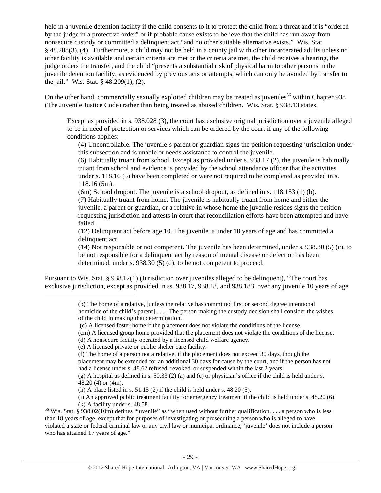held in a juvenile detention facility if the child consents to it to protect the child from a threat and it is "ordered by the judge in a protective order" or if probable cause exists to believe that the child has run away from nonsecure custody or committed a delinquent act "and no other suitable alternative exists." Wis. Stat. § 48.208(3), (4). Furthermore, a child may not be held in a county jail with other incarcerated adults unless no other facility is available and certain criteria are met or the criteria are met, the child receives a hearing, the judge orders the transfer, and the child "presents a substantial risk of physical harm to other persons in the juvenile detention facility, as evidenced by previous acts or attempts, which can only be avoided by transfer to the jail." Wis. Stat. § 48.209(1), (2).

On the other hand, commercially sexually exploited children may be treated as juveniles<sup>56</sup> within Chapter 938 (The Juvenile Justice Code) rather than being treated as abused children. Wis. Stat. § 938.13 states,

Except as provided in s. 938.028 (3), the court has exclusive original jurisdiction over a juvenile alleged to be in need of protection or services which can be ordered by the court if any of the following conditions applies:

(4) Uncontrollable. The juvenile's parent or guardian signs the petition requesting jurisdiction under this subsection and is unable or needs assistance to control the juvenile.

(6) Habitually truant from school. Except as provided under s. 938.17 (2), the juvenile is habitually truant from school and evidence is provided by the school attendance officer that the activities under s. 118.16 (5) have been completed or were not required to be completed as provided in s. 118.16 (5m).

(6m) School dropout. The juvenile is a school dropout, as defined in s. 118.153 (1) (b). (7) Habitually truant from home. The juvenile is habitually truant from home and either the juvenile, a parent or guardian, or a relative in whose home the juvenile resides signs the petition requesting jurisdiction and attests in court that reconciliation efforts have been attempted and have failed.

(12) Delinquent act before age 10. The juvenile is under 10 years of age and has committed a delinquent act.

(14) Not responsible or not competent. The juvenile has been determined, under s. 938.30 (5) (c), to be not responsible for a delinquent act by reason of mental disease or defect or has been determined, under s. 938.30 (5) (d), to be not competent to proceed.

Pursuant to Wis. Stat. § 938.12(1) (Jurisdiction over juveniles alleged to be delinquent), "The court has exclusive jurisdiction, except as provided in ss. 938.17, 938.18, and 938.183, over any juvenile 10 years of age

- (cm) A licensed group home provided that the placement does not violate the conditions of the license.
- (d) A nonsecure facility operated by a licensed child welfare agency.
- (e) A licensed private or public shelter care facility.

- (f) The home of a person not a relative, if the placement does not exceed 30 days, though the placement may be extended for an additional 30 days for cause by the court, and if the person has not had a license under s. 48.62 refused, revoked, or suspended within the last 2 years.
- (g) A hospital as defined in s. 50.33 (2) (a) and (c) or physician's office if the child is held under s. 48.20 (4) or (4m).

<sup>(</sup>b) The home of a relative, [unless the relative has committed first or second degree intentional homicide of the child's parent] . . . . The person making the custody decision shall consider the wishes of the child in making that determination.

 <sup>(</sup>c) A licensed foster home if the placement does not violate the conditions of the license.

<sup>(</sup>h) A place listed in s.  $51.15$  (2) if the child is held under s.  $48.20$  (5).

<sup>(</sup>i) An approved public treatment facility for emergency treatment if the child is held under s. 48.20 (6). (k) A facility under s. 48.58.<br><sup>56</sup> Wis. Stat. § 938.02(10m) defines "juvenile" as "when used without further qualification, . . . a person who is less

than 18 years of age, except that for purposes of investigating or prosecuting a person who is alleged to have violated a state or federal criminal law or any civil law or municipal ordinance, 'juvenile' does not include a person who has attained 17 years of age."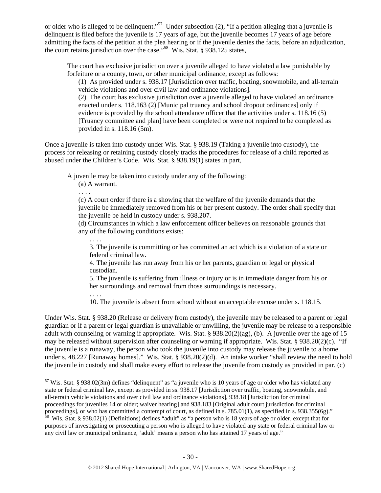or older who is alleged to be delinquent."<sup>57</sup> Under subsection (2), "If a petition alleging that a juvenile is delinquent is filed before the juvenile is 17 years of age, but the juvenile becomes 17 years of age before admitting the facts of the petition at the plea hearing or if the juvenile denies the facts, before an adjudication, the court retains jurisdiction over the case."<sup>58</sup> Wis. Stat. § 938.125 states,

The court has exclusive jurisdiction over a juvenile alleged to have violated a law punishable by forfeiture or a county, town, or other municipal ordinance, except as follows:

(1) As provided under s. 938.17 [Jurisdiction over traffic, boating, snowmobile, and all-terrain vehicle violations and over civil law and ordinance violations].

(2) The court has exclusive jurisdiction over a juvenile alleged to have violated an ordinance enacted under s. 118.163 (2) [Municipal truancy and school dropout ordinances] only if evidence is provided by the school attendance officer that the activities under s. 118.16 (5) [Truancy committee and plan] have been completed or were not required to be completed as provided in s. 118.16 (5m).

Once a juvenile is taken into custody under Wis. Stat. § 938.19 (Taking a juvenile into custody), the process for releasing or retaining custody closely tracks the procedures for release of a child reported as abused under the Children's Code. Wis. Stat. § 938.19(1) states in part,

A juvenile may be taken into custody under any of the following:

(a) A warrant.

. . . .

. . . .

(c) A court order if there is a showing that the welfare of the juvenile demands that the juvenile be immediately removed from his or her present custody. The order shall specify that the juvenile be held in custody under s. 938.207.

(d) Circumstances in which a law enforcement officer believes on reasonable grounds that any of the following conditions exists:

3. The juvenile is committing or has committed an act which is a violation of a state or federal criminal law.

4. The juvenile has run away from his or her parents, guardian or legal or physical custodian.

5. The juvenile is suffering from illness or injury or is in immediate danger from his or her surroundings and removal from those surroundings is necessary.

. . . . 10. The juvenile is absent from school without an acceptable excuse under s. 118.15.

Under Wis. Stat. § 938.20 (Release or delivery from custody), the juvenile may be released to a parent or legal guardian or if a parent or legal guardian is unavailable or unwilling, the juvenile may be release to a responsible adult with counseling or warning if appropriate. Wis. Stat. § 938.20(2)(ag), (b). A juvenile over the age of 15 may be released without supervision after counseling or warning if appropriate. Wis. Stat. § 938.20(2)(c). "If the juvenile is a runaway, the person who took the juvenile into custody may release the juvenile to a home under s. 48.227 [Runaway homes]." Wis. Stat. § 938.20(2)(d). An intake worker "shall review the need to hold the juvenile in custody and shall make every effort to release the juvenile from custody as provided in par. (c)

  $57$  Wis. Stat. § 938.02(3m) defines "delinquent" as "a juvenile who is 10 years of age or older who has violated any state or federal criminal law, except as provided in ss. 938.17 [Jurisdiction over traffic, boating, snowmobile, and all-terrain vehicle violations and over civil law and ordinance violations], 938.18 [Jurisdiction for criminal proceedings for juveniles 14 or older; waiver hearing] and 938.183 [Original adult court jurisdiction for criminal proceedings], or who has committed a contempt of court, as defined in s. 785.01(1), as specified in s. 938.355(6g)."

 $\frac{58}{10}$  Wis. Stat. § 938.02(1) (Definitions) defines "adult" as "a person who is 18 years of age or older, except that for purposes of investigating or prosecuting a person who is alleged to have violated any state or federal criminal law or any civil law or municipal ordinance, 'adult' means a person who has attained 17 years of age."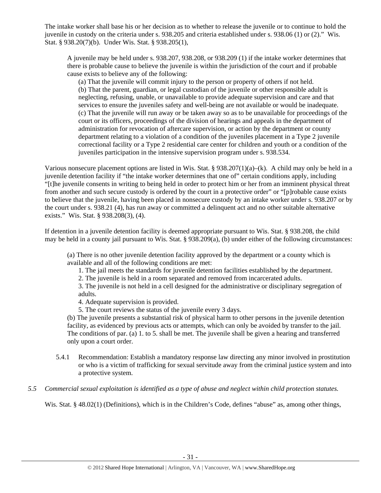The intake worker shall base his or her decision as to whether to release the juvenile or to continue to hold the juvenile in custody on the criteria under s. 938.205 and criteria established under s. 938.06 (1) or (2)." Wis. Stat. § 938.20(7)(b). Under Wis. Stat. § 938.205(1),

A juvenile may be held under s. 938.207, 938.208, or 938.209 (1) if the intake worker determines that there is probable cause to believe the juvenile is within the jurisdiction of the court and if probable cause exists to believe any of the following:

(a) That the juvenile will commit injury to the person or property of others if not held. (b) That the parent, guardian, or legal custodian of the juvenile or other responsible adult is neglecting, refusing, unable, or unavailable to provide adequate supervision and care and that services to ensure the juveniles safety and well-being are not available or would be inadequate. (c) That the juvenile will run away or be taken away so as to be unavailable for proceedings of the court or its officers, proceedings of the division of hearings and appeals in the department of administration for revocation of aftercare supervision, or action by the department or county department relating to a violation of a condition of the juveniles placement in a Type 2 juvenile correctional facility or a Type 2 residential care center for children and youth or a condition of the juveniles participation in the intensive supervision program under s. 938.534.

Various nonsecure placement options are listed in Wis. Stat. §  $938.207(1)(a)$ –(k). A child may only be held in a juvenile detention facility if "the intake worker determines that one of" certain conditions apply, including "[t]he juvenile consents in writing to being held in order to protect him or her from an imminent physical threat from another and such secure custody is ordered by the court in a protective order" or "[p]robable cause exists to believe that the juvenile, having been placed in nonsecure custody by an intake worker under s. 938.207 or by the court under s. 938.21 (4), has run away or committed a delinquent act and no other suitable alternative exists." Wis. Stat. § 938.208(3), (4).

If detention in a juvenile detention facility is deemed appropriate pursuant to Wis. Stat. § 938.208, the child may be held in a county jail pursuant to Wis. Stat.  $\S 938.209(a)$ , (b) under either of the following circumstances:

(a) There is no other juvenile detention facility approved by the department or a county which is available and all of the following conditions are met:

1. The jail meets the standards for juvenile detention facilities established by the department.

2. The juvenile is held in a room separated and removed from incarcerated adults.

3. The juvenile is not held in a cell designed for the administrative or disciplinary segregation of adults.

4. Adequate supervision is provided.

5. The court reviews the status of the juvenile every 3 days.

(b) The juvenile presents a substantial risk of physical harm to other persons in the juvenile detention facility, as evidenced by previous acts or attempts, which can only be avoided by transfer to the jail. The conditions of par. (a) 1. to 5. shall be met. The juvenile shall be given a hearing and transferred only upon a court order.

- 5.4.1 Recommendation: Establish a mandatory response law directing any minor involved in prostitution or who is a victim of trafficking for sexual servitude away from the criminal justice system and into a protective system.
- *5.5 Commercial sexual exploitation is identified as a type of abuse and neglect within child protection statutes.*

Wis. Stat. § 48.02(1) (Definitions), which is in the Children's Code, defines "abuse" as, among other things,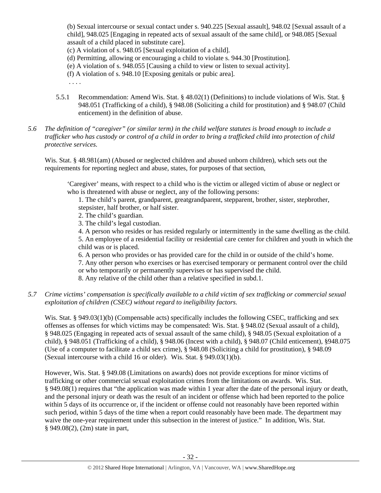(b) Sexual intercourse or sexual contact under s. 940.225 [Sexual assault], 948.02 [Sexual assault of a child], 948.025 [Engaging in repeated acts of sexual assault of the same child], or 948.085 [Sexual assault of a child placed in substitute care].

(c) A violation of s. 948.05 [Sexual exploitation of a child].

- (d) Permitting, allowing or encouraging a child to violate s. 944.30 [Prostitution].
- (e) A violation of s. 948.055 [Causing a child to view or listen to sexual activity].
- (f) A violation of s. 948.10 [Exposing genitals or pubic area].

. . . .

- 5.5.1 Recommendation: Amend Wis. Stat. § 48.02(1) (Definitions) to include violations of Wis. Stat. § 948.051 (Trafficking of a child), § 948.08 (Soliciting a child for prostitution) and § 948.07 (Child enticement) in the definition of abuse.
- *5.6 The definition of "caregiver" (or similar term) in the child welfare statutes is broad enough to include a*  trafficker who has custody or control of a child in order to bring a trafficked child into protection of child *protective services.*

Wis. Stat. § 48.981(am) (Abused or neglected children and abused unborn children), which sets out the requirements for reporting neglect and abuse, states, for purposes of that section,

'Caregiver' means, with respect to a child who is the victim or alleged victim of abuse or neglect or who is threatened with abuse or neglect, any of the following persons:

1. The child's parent, grandparent, greatgrandparent, stepparent, brother, sister, stepbrother, stepsister, half brother, or half sister.

- 2. The child's guardian.
- 3. The child's legal custodian.
- 4. A person who resides or has resided regularly or intermittently in the same dwelling as the child.

5. An employee of a residential facility or residential care center for children and youth in which the child was or is placed.

6. A person who provides or has provided care for the child in or outside of the child's home.

7. Any other person who exercises or has exercised temporary or permanent control over the child or who temporarily or permanently supervises or has supervised the child.

8. Any relative of the child other than a relative specified in subd.1.

## *5.7 Crime victims' compensation is specifically available to a child victim of sex trafficking or commercial sexual exploitation of children (CSEC) without regard to ineligibility factors.*

Wis. Stat. § 949.03(1)(b) (Compensable acts) specifically includes the following CSEC, trafficking and sex offenses as offenses for which victims may be compensated: Wis. Stat. § 948.02 (Sexual assault of a child), § 948.025 (Engaging in repeated acts of sexual assault of the same child), § 948.05 (Sexual exploitation of a child), § 948.051 (Trafficking of a child), § 948.06 (Incest with a child), § 948.07 (Child enticement), §948.075 (Use of a computer to facilitate a child sex crime), § 948.08 (Soliciting a child for prostitution), § 948.09 (Sexual intercourse with a child 16 or older). Wis. Stat. § 949.03(1)(b).

However, Wis. Stat. § 949.08 (Limitations on awards) does not provide exceptions for minor victims of trafficking or other commercial sexual exploitation crimes from the limitations on awards. Wis. Stat. § 949.08(1) requires that "the application was made within 1 year after the date of the personal injury or death, and the personal injury or death was the result of an incident or offense which had been reported to the police within 5 days of its occurrence or, if the incident or offense could not reasonably have been reported within such period, within 5 days of the time when a report could reasonably have been made. The department may waive the one-year requirement under this subsection in the interest of justice." In addition, Wis. Stat. § 949.08(2), (2m) state in part,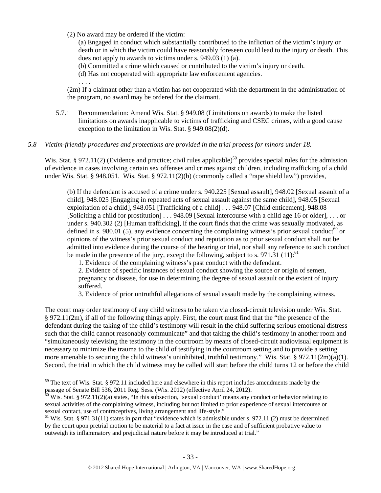(2) No award may be ordered if the victim:

. . . .

(a) Engaged in conduct which substantially contributed to the infliction of the victim's injury or death or in which the victim could have reasonably foreseen could lead to the injury or death. This does not apply to awards to victims under s. 949.03 (1) (a).

- (b) Committed a crime which caused or contributed to the victim's injury or death.
- (d) Has not cooperated with appropriate law enforcement agencies.

(2m) If a claimant other than a victim has not cooperated with the department in the administration of the program, no award may be ordered for the claimant.

5.7.1 Recommendation: Amend Wis. Stat. § 949.08 (Limitations on awards) to make the listed limitations on awards inapplicable to victims of trafficking and CSEC crimes, with a good cause exception to the limitation in Wis. Stat. § 949.08(2)(d).

## *5.8 Victim-friendly procedures and protections are provided in the trial process for minors under 18.*

Wis. Stat. § 972.11(2) (Evidence and practice; civil rules applicable)<sup>59</sup> provides special rules for the admission of evidence in cases involving certain sex offenses and crimes against children, including trafficking of a child under Wis. Stat. § 948.051. Wis. Stat. § 972.11(2)(b) (commonly called a "rape shield law") provides,

(b) If the defendant is accused of a crime under s. 940.225 [Sexual assault], 948.02 [Sexual assault of a child], 948.025 [Engaging in repeated acts of sexual assault against the same child], 948.05 [Sexual exploitation of a child], 948.051 [Trafficking of a child] . . . 948.07 [Child enticement], 948.08 [Soliciting a child for prostitution] . . . 948.09 [Sexual intercourse with a child age 16 or older], . . . or under s. 940.302 (2) [Human trafficking], if the court finds that the crime was sexually motivated, as defined in s. 980.01 (5), any evidence concerning the complaining witness's prior sexual conduct<sup>60</sup> or opinions of the witness's prior sexual conduct and reputation as to prior sexual conduct shall not be admitted into evidence during the course of the hearing or trial, nor shall any reference to such conduct be made in the presence of the jury, except the following, subject to s. 971.31 (11):<sup>61</sup>

1. Evidence of the complaining witness's past conduct with the defendant.

2. Evidence of specific instances of sexual conduct showing the source or origin of semen, pregnancy or disease, for use in determining the degree of sexual assault or the extent of injury suffered.

3. Evidence of prior untruthful allegations of sexual assault made by the complaining witness.

The court may order testimony of any child witness to be taken via closed-circuit television under Wis. Stat. § 972.11(2m), if all of the following things apply. First, the court must find that the "the presence of the defendant during the taking of the child's testimony will result in the child suffering serious emotional distress such that the child cannot reasonably communicate" and that taking the child's testimony in another room and "simultaneously televising the testimony in the courtroom by means of closed-circuit audiovisual equipment is necessary to minimize the trauma to the child of testifying in the courtroom setting and to provide a setting more amenable to securing the child witness's uninhibited, truthful testimony." Wis. Stat. § 972.11(2m)(a)(1). Second, the trial in which the child witness may be called will start before the child turns 12 or before the child

 $59$  The text of Wis. Stat. § 972.11 included here and elsewhere in this report includes amendments made by the passage of Senate Bill 536, 2011 Reg. Sess. (Wis. 2012) (effective April 24, 2012).<br><sup>60</sup> Wis. Stat. § 972.11(2)(a) states, "In this subsection, 'sexual conduct' means any conduct or behavior relating to

sexual activities of the complaining witness, including but not limited to prior experience of sexual intercourse or sexual contact, use of contraceptives, living arrangement and life-style."

 $61$  Wis. Stat. § 971.31(11) states in part that "evidence which is admissible under s. 972.11 (2) must be determined by the court upon pretrial motion to be material to a fact at issue in the case and of sufficient probative value to outweigh its inflammatory and prejudicial nature before it may be introduced at trial."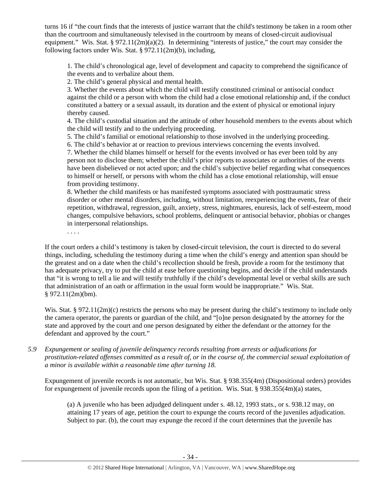turns 16 if "the court finds that the interests of justice warrant that the child's testimony be taken in a room other than the courtroom and simultaneously televised in the courtroom by means of closed-circuit audiovisual equipment." Wis. Stat. § 972.11(2m)(a)(2). In determining "interests of justice," the court may consider the following factors under Wis. Stat. § 972.11(2m)(b), including,

1. The child's chronological age, level of development and capacity to comprehend the significance of the events and to verbalize about them.

2. The child's general physical and mental health.

3. Whether the events about which the child will testify constituted criminal or antisocial conduct against the child or a person with whom the child had a close emotional relationship and, if the conduct constituted a battery or a sexual assault, its duration and the extent of physical or emotional injury thereby caused.

4. The child's custodial situation and the attitude of other household members to the events about which the child will testify and to the underlying proceeding.

5. The child's familial or emotional relationship to those involved in the underlying proceeding.

6. The child's behavior at or reaction to previous interviews concerning the events involved.

7. Whether the child blames himself or herself for the events involved or has ever been told by any person not to disclose them; whether the child's prior reports to associates or authorities of the events have been disbelieved or not acted upon; and the child's subjective belief regarding what consequences to himself or herself, or persons with whom the child has a close emotional relationship, will ensue from providing testimony.

8. Whether the child manifests or has manifested symptoms associated with posttraumatic stress disorder or other mental disorders, including, without limitation, reexperiencing the events, fear of their repetition, withdrawal, regression, guilt, anxiety, stress, nightmares, enuresis, lack of self-esteem, mood changes, compulsive behaviors, school problems, delinquent or antisocial behavior, phobias or changes in interpersonal relationships.

. . . .

If the court orders a child's testimony is taken by closed-circuit television, the court is directed to do several things, including, scheduling the testimony during a time when the child's energy and attention span should be the greatest and on a date when the child's recollection should be fresh, provide a room for the testimony that has adequate privacy, try to put the child at ease before questioning begins, and decide if the child understands that "it is wrong to tell a lie and will testify truthfully if the child's developmental level or verbal skills are such that administration of an oath or affirmation in the usual form would be inappropriate." Wis. Stat. § 972.11(2m)(bm).

Wis. Stat. § 972.11(2m)(c) restricts the persons who may be present during the child's testimony to include only the camera operator, the parents or guardian of the child, and "[o]ne person designated by the attorney for the state and approved by the court and one person designated by either the defendant or the attorney for the defendant and approved by the court."

*5.9 Expungement or sealing of juvenile delinquency records resulting from arrests or adjudications for prostitution-related offenses committed as a result of, or in the course of, the commercial sexual exploitation of a minor is available within a reasonable time after turning 18.* 

Expungement of juvenile records is not automatic, but Wis. Stat. § 938.355(4m) (Dispositional orders) provides for expungement of juvenile records upon the filing of a petition. Wis. Stat. § 938.355(4m)(a) states,

(a) A juvenile who has been adjudged delinquent under s. 48.12, 1993 stats., or s. 938.12 may, on attaining 17 years of age, petition the court to expunge the courts record of the juveniles adjudication. Subject to par. (b), the court may expunge the record if the court determines that the juvenile has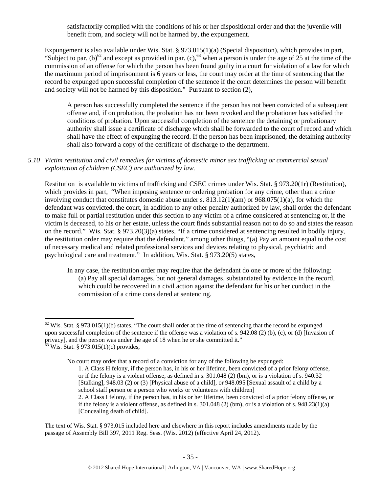satisfactorily complied with the conditions of his or her dispositional order and that the juvenile will benefit from, and society will not be harmed by, the expungement.

Expungement is also available under Wis. Stat. § 973.015(1)(a) (Special disposition), which provides in part, "Subject to par. (b)<sup>62</sup> and except as provided in par. (c),<sup>63</sup> when a person is under the age of 25 at the time of the commission of an offense for which the person has been found guilty in a court for violation of a law for which the maximum period of imprisonment is 6 years or less, the court may order at the time of sentencing that the record be expunged upon successful completion of the sentence if the court determines the person will benefit and society will not be harmed by this disposition." Pursuant to section (2),

A person has successfully completed the sentence if the person has not been convicted of a subsequent offense and, if on probation, the probation has not been revoked and the probationer has satisfied the conditions of probation. Upon successful completion of the sentence the detaining or probationary authority shall issue a certificate of discharge which shall be forwarded to the court of record and which shall have the effect of expunging the record. If the person has been imprisoned, the detaining authority shall also forward a copy of the certificate of discharge to the department.

*5.10 Victim restitution and civil remedies for victims of domestic minor sex trafficking or commercial sexual exploitation of children (CSEC) are authorized by law.* 

Restitution is available to victims of trafficking and CSEC crimes under Wis. Stat. § 973.20(1r) (Restitution), which provides in part, "When imposing sentence or ordering probation for any crime, other than a crime involving conduct that constitutes domestic abuse under s.  $813.12(1)(am)$  or  $968.075(1)(a)$ , for which the defendant was convicted, the court, in addition to any other penalty authorized by law, shall order the defendant to make full or partial restitution under this section to any victim of a crime considered at sentencing or, if the victim is deceased, to his or her estate, unless the court finds substantial reason not to do so and states the reason on the record." Wis. Stat. § 973.20(3)(a) states, "If a crime considered at sentencing resulted in bodily injury, the restitution order may require that the defendant," among other things, "(a) Pay an amount equal to the cost of necessary medical and related professional services and devices relating to physical, psychiatric and psychological care and treatment." In addition, Wis. Stat. § 973.20(5) states,

In any case, the restitution order may require that the defendant do one or more of the following: (a) Pay all special damages, but not general damages, substantiated by evidence in the record, which could be recovered in a civil action against the defendant for his or her conduct in the commission of a crime considered at sentencing.

1. A Class H felony, if the person has, in his or her lifetime, been convicted of a prior felony offense, or if the felony is a violent offense, as defined in s. 301.048 (2) (bm), or is a violation of s. 940.32 [Stalking], 948.03 (2) or (3) [Physical abuse of a child], or 948.095 [Sexual assault of a child by a school staff person or a person who works or volunteers with children]

 $62$  Wis. Stat. § 973.015(1)(b) states, "The court shall order at the time of sentencing that the record be expunged upon successful completion of the sentence if the offense was a violation of s. 942.08 (2) (b), (c), or (d) [Invasion of privacy], and the person was under the age of 18 when he or she committed it."  $63$  Wis. Stat. § 973.015(1)(c) provides,

No court may order that a record of a conviction for any of the following be expunged:

<sup>2.</sup> A Class I felony, if the person has, in his or her lifetime, been convicted of a prior felony offense, or if the felony is a violent offense, as defined in s.  $301.048$  (2) (bm), or is a violation of s.  $948.23(1)(a)$ [Concealing death of child].

The text of Wis. Stat. § 973.015 included here and elsewhere in this report includes amendments made by the passage of Assembly Bill 397, 2011 Reg. Sess. (Wis. 2012) (effective April 24, 2012).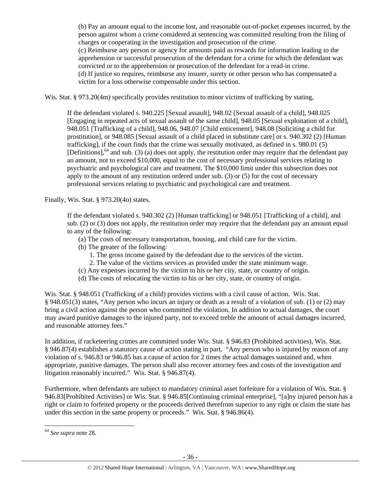(b) Pay an amount equal to the income lost, and reasonable out-of-pocket expenses incurred, by the person against whom a crime considered at sentencing was committed resulting from the filing of charges or cooperating in the investigation and prosecution of the crime. (c) Reimburse any person or agency for amounts paid as rewards for information leading to the apprehension or successful prosecution of the defendant for a crime for which the defendant was convicted or to the apprehension or prosecution of the defendant for a read-in crime. (d) If justice so requires, reimburse any insurer, surety or other person who has compensated a victim for a loss otherwise compensable under this section.

Wis. Stat. § 973.20(4m) specifically provides restitution to minor victims of trafficking by stating,

If the defendant violated s. 940.225 [Sexual assault], 948.02 [Sexual assault of a child], 948.025 [Engaging in repeated acts of sexual assault of the same child], 948.05 [Sexual exploitation of a child], 948.051 [Trafficking of a child], 948.06, 948.07 [Child enticement], 948.08 [Soliciting a child for prostitution], or 948.085 [Sexual assault of a child placed in substitute care] or s. 940.302 (2) [Human trafficking], if the court finds that the crime was sexually motivated, as defined in s. 980.01 (5) [Definitions],  $64$  and sub. (3) (a) does not apply, the restitution order may require that the defendant pay an amount, not to exceed \$10,000, equal to the cost of necessary professional services relating to psychiatric and psychological care and treatment. The \$10,000 limit under this subsection does not apply to the amount of any restitution ordered under sub. (3) or (5) for the cost of necessary professional services relating to psychiatric and psychological care and treatment.

Finally, Wis. Stat. § 973.20(4o) states,

If the defendant violated s. 940.302 (2) [Human trafficking] or 948.051 [Trafficking of a child], and sub. (2) or (3) does not apply, the restitution order may require that the defendant pay an amount equal to any of the following:

- (a) The costs of necessary transportation, housing, and child care for the victim.
- (b) The greater of the following:
	- 1. The gross income gained by the defendant due to the services of the victim.
	- 2. The value of the victims services as provided under the state minimum wage.
- (c) Any expenses incurred by the victim to his or her city, state, or country of origin.
- (d) The costs of relocating the victim to his or her city, state, or country of origin.

Wis. Stat. § 948.051 (Trafficking of a child) provides victims with a civil cause of action. Wis. Stat. § 948.051(3) states, "Any person who incurs an injury or death as a result of a violation of sub. (1) or (2) may bring a civil action against the person who committed the violation. In addition to actual damages, the court may award punitive damages to the injured party, not to exceed treble the amount of actual damages incurred, and reasonable attorney fees."

In addition, if racketeering crimes are committed under Wis. Stat. § 946.83 (Prohibited activities), Wis. Stat. § 946.87(4) establishes a statutory cause of action stating in part, "Any person who is injured by reason of any violation of s. 946.83 or 946.85 has a cause of action for 2 times the actual damages sustained and, when appropriate, punitive damages. The person shall also recover attorney fees and costs of the investigation and litigation reasonably incurred." Wis. Stat. § 946.87(4).

Furthermore, when defendants are subject to mandatory criminal asset forfeiture for a violation of Wis. Stat. § 946.83[Prohibited Activities] or Wis. Stat. § 946.85[Continuing criminal enterprise], "[a]ny injured person has a right or claim to forfeited property or the proceeds derived therefrom superior to any right or claim the state has under this section in the same property or proceeds." Wis. Stat. § 946.86(4).

<sup>64</sup> *See supra* note 28.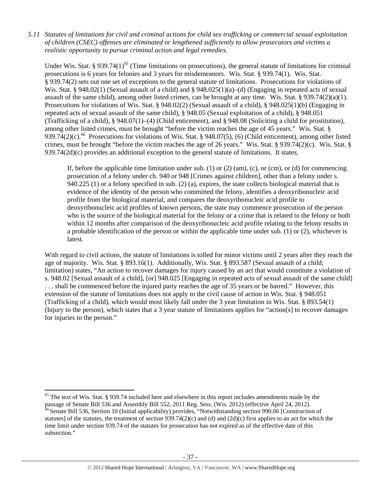*5.11 Statutes of limitations for civil and criminal actions for child sex trafficking or commercial sexual exploitation of children (CSEC) offenses are eliminated or lengthened sufficiently to allow prosecutors and victims a realistic opportunity to pursue criminal action and legal remedies.* 

Under Wis. Stat. § 939.74(1)<sup>65</sup> (Time limitations on prosecutions), the general statute of limitations for criminal prosecutions is 6 years for felonies and 3 years for misdemeanors. Wis. Stat. § 939.74(1). Wis. Stat. § 939.74(2) sets out one set of exceptions to the general statute of limitations. Prosecutions for violations of Wis. Stat. § 948.02(1) (Sexual assault of a child) and § 948.025(1)(a)–(d) (Engaging in repeated acts of sexual assault of the same child), among other listed crimes, can be brought at any time. Wis. Stat. § 939.74(2)(a)(1). Prosecutions for violations of Wis. Stat. § 948.02(2) (Sexual assault of a child), § 948.025(1)(b) (Engaging in repeated acts of sexual assault of the same child), § 948.05 (Sexual exploitation of a child), § 948.051 (Trafficking of a child), § 948.07(1)–(4) (Child enticement), and § 948.08 (Soliciting a child for prostitution), among other listed crimes, must be brought "before the victim reaches the age of 45 years." Wis. Stat. § 939.74(2)(c).<sup>66</sup> Prosecutions for violations of Wis. Stat. § 948.07(5), (6) (Child enticement), among other listed crimes, must be brought "before the victim reaches the age of 26 years." Wis. Stat. § 939.74(2)(c). Wis. Stat. §  $939.74(2d)(c)$  provides an additional exception to the general statute of limitations. It states,

If, before the applicable time limitation under sub. (1) or (2) (am), (c), or (cm), or (d) for commencing prosecution of a felony under ch. 940 or 948 [Crimes against children], other than a felony under s. 940.225 (1) or a felony specified in sub. (2) (a), expires, the state collects biological material that is evidence of the identity of the person who committed the felony, identifies a deoxyribonucleic acid profile from the biological material, and compares the deoxyribonucleic acid profile to deoxyribonucleic acid profiles of known persons, the state may commence prosecution of the person who is the source of the biological material for the felony or a crime that is related to the felony or both within 12 months after comparison of the deoxyribonucleic acid profile relating to the felony results in a probable identification of the person or within the applicable time under sub. (1) or (2), whichever is latest.

With regard to civil actions, the statute of limitations is tolled for minor victims until 2 years after they reach the age of majority. Wis. Stat. § 893.16(1). Additionally, Wis. Stat. § 893.587 (Sexual assault of a child; limitation) states, "An action to recover damages for injury caused by an act that would constitute a violation of s. 948.02 [Sexual assault of a child], [or] 948.025 [Engaging in repeated acts of sexual assault of the same child] . . . shall be commenced before the injured party reaches the age of 35 years or be barred." However, this extension of the statute of limitations does not apply to the civil cause of action in Wis. Stat. § 948.051 (Trafficking of a child), which would most likely fall under the 3 year limitation in Wis. Stat. § 893.54(1) (Injury to the person), which states that a 3 year statute of limitations applies for "action[s] to recover damages for injuries to the person."

subsection."

<sup>&</sup>lt;sup>65</sup> The text of Wis. Stat. § 939.74 included here and elsewhere in this report includes amendments made by the passage of Senate Bill 536 and Assembly Bill 552, 2011 Reg. Sess. (Wis. 2012) (effective April 24, 2012). <sup>66</sup> Senate Bill 536, Section 10 (Initial applicability) provides, "Notwithstanding section 990.06 [Construction of statutes] of the statutes, the treatment of section  $939.74(2)(c)$  and (d) and  $(2d)(c)$  first applies to an act for which the time limit under section 939.74 of the statutes for prosecution has not expired as of the effective date of this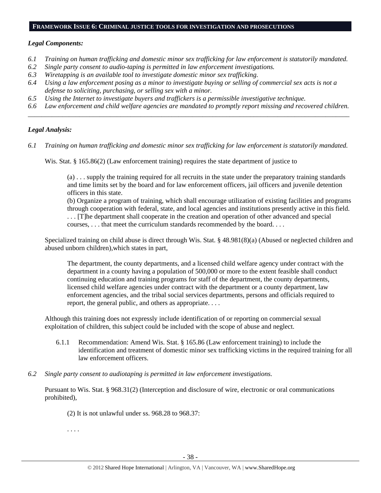#### **FRAMEWORK ISSUE 6: CRIMINAL JUSTICE TOOLS FOR INVESTIGATION AND PROSECUTIONS**

#### *Legal Components:*

- *6.1 Training on human trafficking and domestic minor sex trafficking for law enforcement is statutorily mandated.*
- *6.2 Single party consent to audio-taping is permitted in law enforcement investigations.*
- *6.3 Wiretapping is an available tool to investigate domestic minor sex trafficking.*
- *6.4 Using a law enforcement posing as a minor to investigate buying or selling of commercial sex acts is not a defense to soliciting, purchasing, or selling sex with a minor.*
- *6.5 Using the Internet to investigate buyers and traffickers is a permissible investigative technique.*
- *6.6 Law enforcement and child welfare agencies are mandated to promptly report missing and recovered children. \_\_\_\_\_\_\_\_\_\_\_\_\_\_\_\_\_\_\_\_\_\_\_\_\_\_\_\_\_\_\_\_\_\_\_\_\_\_\_\_\_\_\_\_\_\_\_\_\_\_\_\_\_\_\_\_\_\_\_\_\_\_\_\_\_\_\_\_\_\_\_\_\_\_\_\_\_\_\_\_\_\_\_\_\_\_\_\_\_\_\_\_\_\_*

#### *Legal Analysis:*

*6.1 Training on human trafficking and domestic minor sex trafficking for law enforcement is statutorily mandated.* 

Wis. Stat. § 165.86(2) (Law enforcement training) requires the state department of justice to

(a) . . . supply the training required for all recruits in the state under the preparatory training standards and time limits set by the board and for law enforcement officers, jail officers and juvenile detention officers in this state.

(b) Organize a program of training, which shall encourage utilization of existing facilities and programs through cooperation with federal, state, and local agencies and institutions presently active in this field. . . . [T]he department shall cooperate in the creation and operation of other advanced and special courses, . . . that meet the curriculum standards recommended by the board. . . .

Specialized training on child abuse is direct through Wis. Stat. § 48.981(8)(a) (Abused or neglected children and abused unborn children),which states in part,

The department, the county departments, and a licensed child welfare agency under contract with the department in a county having a population of 500,000 or more to the extent feasible shall conduct continuing education and training programs for staff of the department, the county departments, licensed child welfare agencies under contract with the department or a county department, law enforcement agencies, and the tribal social services departments, persons and officials required to report, the general public, and others as appropriate. . . .

Although this training does not expressly include identification of or reporting on commercial sexual exploitation of children, this subject could be included with the scope of abuse and neglect.

- 6.1.1 Recommendation: Amend Wis. Stat. § 165.86 (Law enforcement training) to include the identification and treatment of domestic minor sex trafficking victims in the required training for all law enforcement officers.
- *6.2 Single party consent to audiotaping is permitted in law enforcement investigations.*

Pursuant to Wis. Stat. § 968.31(2) (Interception and disclosure of wire, electronic or oral communications prohibited),

(2) It is not unlawful under ss. 968.28 to 968.37:

. . . .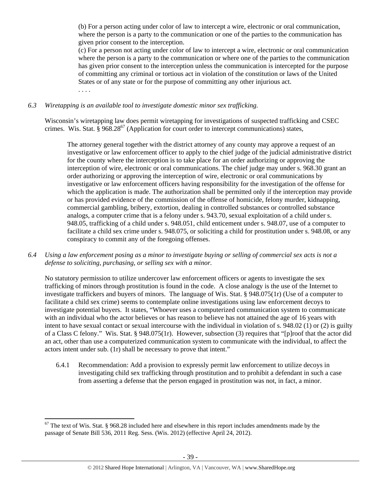(b) For a person acting under color of law to intercept a wire, electronic or oral communication, where the person is a party to the communication or one of the parties to the communication has given prior consent to the interception.

(c) For a person not acting under color of law to intercept a wire, electronic or oral communication where the person is a party to the communication or where one of the parties to the communication has given prior consent to the interception unless the communication is intercepted for the purpose of committing any criminal or tortious act in violation of the constitution or laws of the United States or of any state or for the purpose of committing any other injurious act. . . . .

## *6.3 Wiretapping is an available tool to investigate domestic minor sex trafficking.*

Wisconsin's wiretapping law does permit wiretapping for investigations of suspected trafficking and CSEC crimes. Wis. Stat. §  $968.28^{67}$  (Application for court order to intercept communications) states,

The attorney general together with the district attorney of any county may approve a request of an investigative or law enforcement officer to apply to the chief judge of the judicial administrative district for the county where the interception is to take place for an order authorizing or approving the interception of wire, electronic or oral communications. The chief judge may under s. 968.30 grant an order authorizing or approving the interception of wire, electronic or oral communications by investigative or law enforcement officers having responsibility for the investigation of the offense for which the application is made. The authorization shall be permitted only if the interception may provide or has provided evidence of the commission of the offense of homicide, felony murder, kidnapping, commercial gambling, bribery, extortion, dealing in controlled substances or controlled substance analogs, a computer crime that is a felony under s. 943.70, sexual exploitation of a child under s. 948.05, trafficking of a child under s. 948.051, child enticement under s. 948.07, use of a computer to facilitate a child sex crime under s. 948.075, or soliciting a child for prostitution under s. 948.08, or any conspiracy to commit any of the foregoing offenses.

*6.4 Using a law enforcement posing as a minor to investigate buying or selling of commercial sex acts is not a defense to soliciting, purchasing, or selling sex with a minor.* 

No statutory permission to utilize undercover law enforcement officers or agents to investigate the sex trafficking of minors through prostitution is found in the code. A close analogy is the use of the Internet to investigate traffickers and buyers of minors. The language of Wis. Stat. § 948.075(1r) (Use of a computer to facilitate a child sex crime) seems to contemplate online investigations using law enforcement decoys to investigate potential buyers. It states, "Whoever uses a computerized communication system to communicate with an individual who the actor believes or has reason to believe has not attained the age of 16 years with intent to have sexual contact or sexual intercourse with the individual in violation of s. 948.02 (1) or (2) is guilty of a Class C felony." Wis. Stat. § 948.075(1r). However, subsection (3) requires that "[p]roof that the actor did an act, other than use a computerized communication system to communicate with the individual, to affect the actors intent under sub. (1r) shall be necessary to prove that intent."

6.4.1 Recommendation: Add a provision to expressly permit law enforcement to utilize decoys in investigating child sex trafficking through prostitution and to prohibit a defendant in such a case from asserting a defense that the person engaged in prostitution was not, in fact, a minor.

 $67$  The text of Wis. Stat. § 968.28 included here and elsewhere in this report includes amendments made by the passage of Senate Bill 536, 2011 Reg. Sess. (Wis. 2012) (effective April 24, 2012).